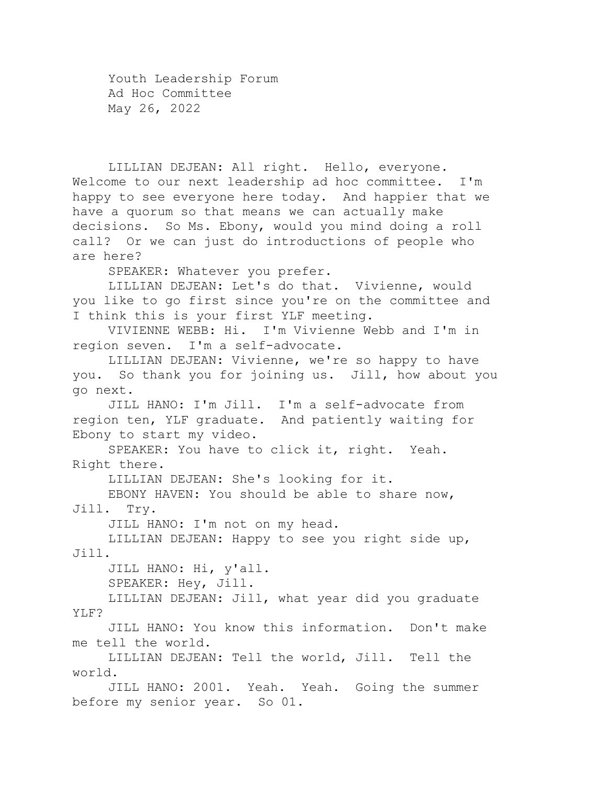Youth Leadership Forum Ad Hoc Committee May 26, 2022

LILLIAN DEJEAN: All right. Hello, everyone. Welcome to our next leadership ad hoc committee. I'm happy to see everyone here today. And happier that we have a quorum so that means we can actually make decisions. So Ms. Ebony, would you mind doing a roll call? Or we can just do introductions of people who are here?

SPEAKER: Whatever you prefer.

LILLIAN DEJEAN: Let's do that. Vivienne, would you like to go first since you're on the committee and I think this is your first YLF meeting.

VIVIENNE WEBB: Hi. I'm Vivienne Webb and I'm in region seven. I'm a self-advocate.

LILLIAN DEJEAN: Vivienne, we're so happy to have you. So thank you for joining us. Jill, how about you go next.

JILL HANO: I'm Jill. I'm a self-advocate from region ten, YLF graduate. And patiently waiting for Ebony to start my video.

SPEAKER: You have to click it, right. Yeah. Right there.

LILLIAN DEJEAN: She's looking for it.

EBONY HAVEN: You should be able to share now, Jill. Try.

JILL HANO: I'm not on my head.

LILLIAN DEJEAN: Happy to see you right side up, Jill.

JILL HANO: Hi, y'all.

SPEAKER: Hey, Jill.

LILLIAN DEJEAN: Jill, what year did you graduate YLF?

JILL HANO: You know this information. Don't make me tell the world.

LILLIAN DEJEAN: Tell the world, Jill. Tell the world.

JILL HANO: 2001. Yeah. Yeah. Going the summer before my senior year. So 01.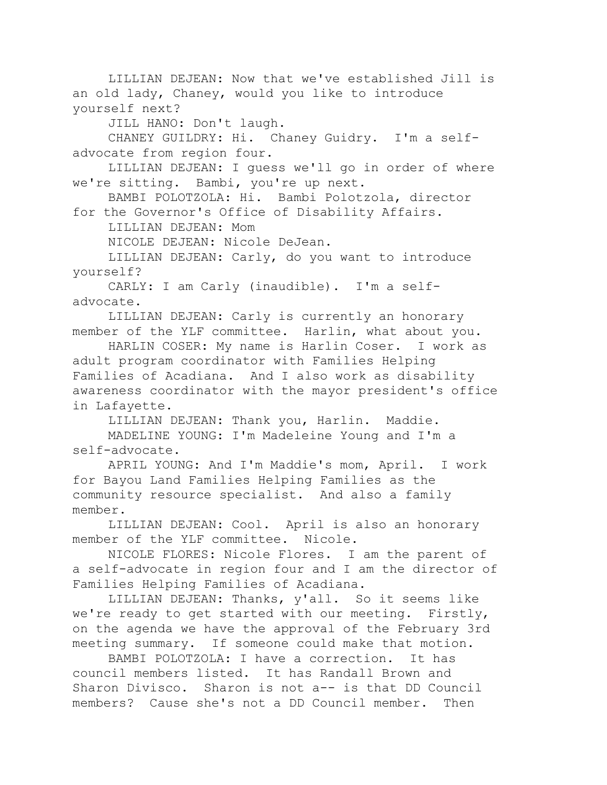LILLIAN DEJEAN: Now that we've established Jill is an old lady, Chaney, would you like to introduce yourself next?

JILL HANO: Don't laugh.

CHANEY GUILDRY: Hi. Chaney Guidry. I'm a selfadvocate from region four.

LILLIAN DEJEAN: I guess we'll go in order of where we're sitting. Bambi, you're up next.

BAMBI POLOTZOLA: Hi. Bambi Polotzola, director for the Governor's Office of Disability Affairs.

LILLIAN DEJEAN: Mom

NICOLE DEJEAN: Nicole DeJean.

LILLIAN DEJEAN: Carly, do you want to introduce yourself?

CARLY: I am Carly (inaudible). I'm a selfadvocate.

LILLIAN DEJEAN: Carly is currently an honorary member of the YLF committee. Harlin, what about you.

HARLIN COSER: My name is Harlin Coser. I work as adult program coordinator with Families Helping Families of Acadiana. And I also work as disability awareness coordinator with the mayor president's office in Lafayette.

LILLIAN DEJEAN: Thank you, Harlin. Maddie. MADELINE YOUNG: I'm Madeleine Young and I'm a self-advocate.

APRIL YOUNG: And I'm Maddie's mom, April. I work for Bayou Land Families Helping Families as the community resource specialist. And also a family member.

LILLIAN DEJEAN: Cool. April is also an honorary member of the YLF committee. Nicole.

NICOLE FLORES: Nicole Flores. I am the parent of a self-advocate in region four and I am the director of Families Helping Families of Acadiana.

LILLIAN DEJEAN: Thanks, y'all. So it seems like we're ready to get started with our meeting. Firstly, on the agenda we have the approval of the February 3rd meeting summary. If someone could make that motion.

BAMBI POLOTZOLA: I have a correction. It has council members listed. It has Randall Brown and Sharon Divisco. Sharon is not a-- is that DD Council members? Cause she's not a DD Council member. Then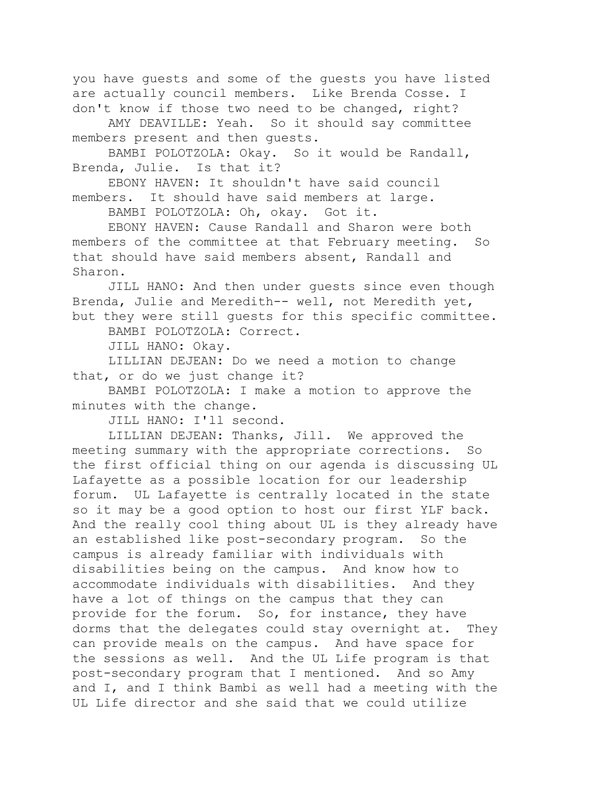you have guests and some of the guests you have listed are actually council members. Like Brenda Cosse. I don't know if those two need to be changed, right?

AMY DEAVILLE: Yeah. So it should say committee members present and then guests.

BAMBI POLOTZOLA: Okay. So it would be Randall, Brenda, Julie. Is that it?

EBONY HAVEN: It shouldn't have said council members. It should have said members at large.

BAMBI POLOTZOLA: Oh, okay. Got it.

EBONY HAVEN: Cause Randall and Sharon were both members of the committee at that February meeting. So that should have said members absent, Randall and Sharon.

JILL HANO: And then under guests since even though Brenda, Julie and Meredith-- well, not Meredith yet, but they were still guests for this specific committee.

BAMBI POLOTZOLA: Correct.

JILL HANO: Okay.

LILLIAN DEJEAN: Do we need a motion to change that, or do we just change it?

BAMBI POLOTZOLA: I make a motion to approve the minutes with the change.

JILL HANO: I'll second.

LILLIAN DEJEAN: Thanks, Jill. We approved the meeting summary with the appropriate corrections. So the first official thing on our agenda is discussing UL Lafayette as a possible location for our leadership forum. UL Lafayette is centrally located in the state so it may be a good option to host our first YLF back. And the really cool thing about UL is they already have an established like post-secondary program. So the campus is already familiar with individuals with disabilities being on the campus. And know how to accommodate individuals with disabilities. And they have a lot of things on the campus that they can provide for the forum. So, for instance, they have dorms that the delegates could stay overnight at. They can provide meals on the campus. And have space for the sessions as well. And the UL Life program is that post-secondary program that I mentioned. And so Amy and I, and I think Bambi as well had a meeting with the UL Life director and she said that we could utilize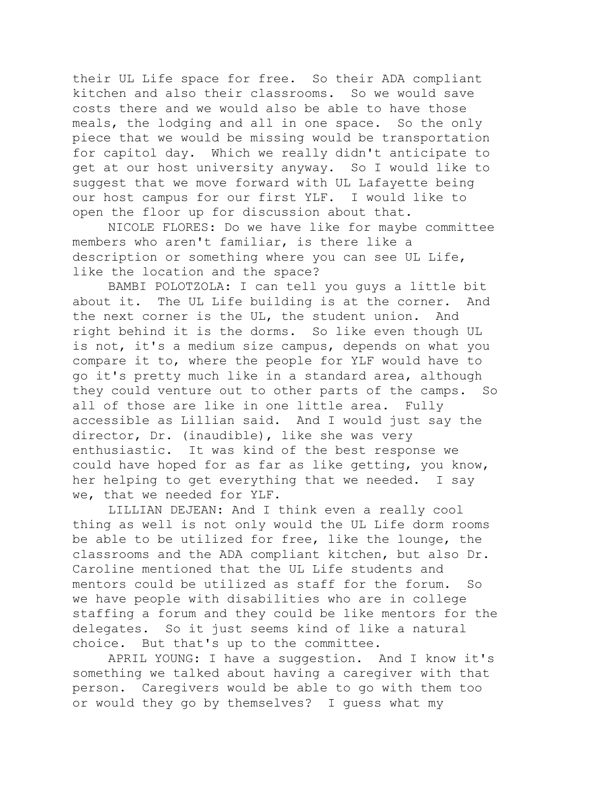their UL Life space for free. So their ADA compliant kitchen and also their classrooms. So we would save costs there and we would also be able to have those meals, the lodging and all in one space. So the only piece that we would be missing would be transportation for capitol day. Which we really didn't anticipate to get at our host university anyway. So I would like to suggest that we move forward with UL Lafayette being our host campus for our first YLF. I would like to open the floor up for discussion about that.

NICOLE FLORES: Do we have like for maybe committee members who aren't familiar, is there like a description or something where you can see UL Life, like the location and the space?

BAMBI POLOTZOLA: I can tell you guys a little bit about it. The UL Life building is at the corner. And the next corner is the UL, the student union. And right behind it is the dorms. So like even though UL is not, it's a medium size campus, depends on what you compare it to, where the people for YLF would have to go it's pretty much like in a standard area, although they could venture out to other parts of the camps. So all of those are like in one little area. Fully accessible as Lillian said. And I would just say the director, Dr. (inaudible), like she was very enthusiastic. It was kind of the best response we could have hoped for as far as like getting, you know, her helping to get everything that we needed. I say we, that we needed for YLF.

LILLIAN DEJEAN: And I think even a really cool thing as well is not only would the UL Life dorm rooms be able to be utilized for free, like the lounge, the classrooms and the ADA compliant kitchen, but also Dr. Caroline mentioned that the UL Life students and mentors could be utilized as staff for the forum. So we have people with disabilities who are in college staffing a forum and they could be like mentors for the delegates. So it just seems kind of like a natural choice. But that's up to the committee.

APRIL YOUNG: I have a suggestion. And I know it's something we talked about having a caregiver with that person. Caregivers would be able to go with them too or would they go by themselves? I guess what my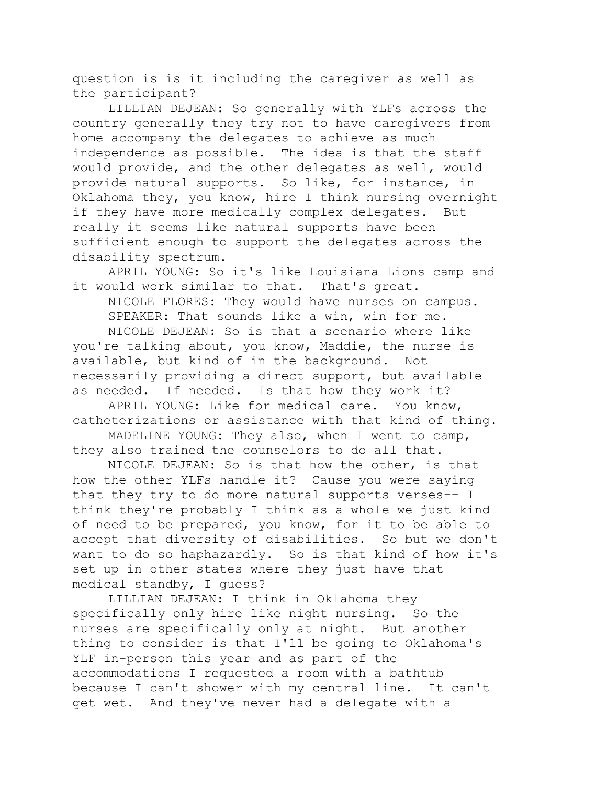question is is it including the caregiver as well as the participant?

LILLIAN DEJEAN: So generally with YLFs across the country generally they try not to have caregivers from home accompany the delegates to achieve as much independence as possible. The idea is that the staff would provide, and the other delegates as well, would provide natural supports. So like, for instance, in Oklahoma they, you know, hire I think nursing overnight if they have more medically complex delegates. But really it seems like natural supports have been sufficient enough to support the delegates across the disability spectrum.

APRIL YOUNG: So it's like Louisiana Lions camp and it would work similar to that. That's great.

NICOLE FLORES: They would have nurses on campus. SPEAKER: That sounds like a win, win for me.

NICOLE DEJEAN: So is that a scenario where like you're talking about, you know, Maddie, the nurse is available, but kind of in the background. Not necessarily providing a direct support, but available as needed. If needed. Is that how they work it?

APRIL YOUNG: Like for medical care. You know, catheterizations or assistance with that kind of thing.

MADELINE YOUNG: They also, when I went to camp, they also trained the counselors to do all that.

NICOLE DEJEAN: So is that how the other, is that how the other YLFs handle it? Cause you were saying that they try to do more natural supports verses-- I think they're probably I think as a whole we just kind of need to be prepared, you know, for it to be able to accept that diversity of disabilities. So but we don't want to do so haphazardly. So is that kind of how it's set up in other states where they just have that medical standby, I guess?

LILLIAN DEJEAN: I think in Oklahoma they specifically only hire like night nursing. So the nurses are specifically only at night. But another thing to consider is that I'll be going to Oklahoma's YLF in-person this year and as part of the accommodations I requested a room with a bathtub because I can't shower with my central line. It can't get wet. And they've never had a delegate with a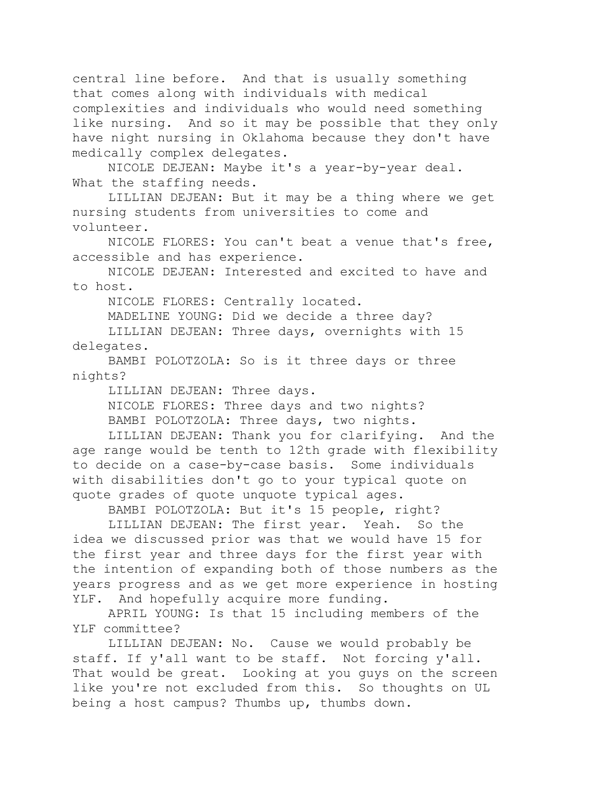central line before. And that is usually something that comes along with individuals with medical complexities and individuals who would need something like nursing. And so it may be possible that they only have night nursing in Oklahoma because they don't have medically complex delegates.

NICOLE DEJEAN: Maybe it's a year-by-year deal. What the staffing needs.

LILLIAN DEJEAN: But it may be a thing where we get nursing students from universities to come and volunteer.

NICOLE FLORES: You can't beat a venue that's free, accessible and has experience.

NICOLE DEJEAN: Interested and excited to have and to host.

NICOLE FLORES: Centrally located.

MADELINE YOUNG: Did we decide a three day?

LILLIAN DEJEAN: Three days, overnights with 15 delegates.

BAMBI POLOTZOLA: So is it three days or three nights?

LILLIAN DEJEAN: Three days.

NICOLE FLORES: Three days and two nights? BAMBI POLOTZOLA: Three days, two nights.

LILLIAN DEJEAN: Thank you for clarifying. And the age range would be tenth to 12th grade with flexibility to decide on a case-by-case basis. Some individuals with disabilities don't go to your typical quote on quote grades of quote unquote typical ages.

BAMBI POLOTZOLA: But it's 15 people, right?

LILLIAN DEJEAN: The first year. Yeah. So the idea we discussed prior was that we would have 15 for the first year and three days for the first year with the intention of expanding both of those numbers as the years progress and as we get more experience in hosting YLF. And hopefully acquire more funding.

APRIL YOUNG: Is that 15 including members of the YLF committee?

LILLIAN DEJEAN: No. Cause we would probably be staff. If y'all want to be staff. Not forcing y'all. That would be great. Looking at you guys on the screen like you're not excluded from this. So thoughts on UL being a host campus? Thumbs up, thumbs down.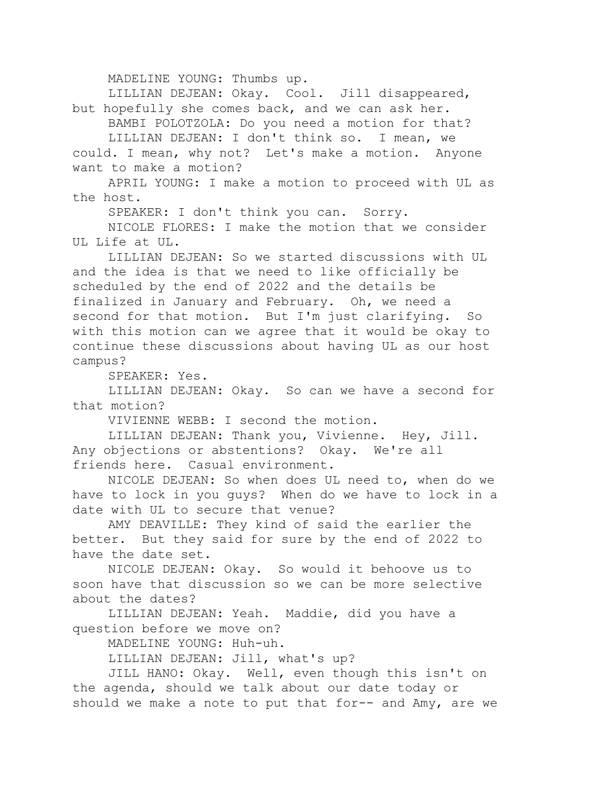MADELINE YOUNG: Thumbs up.

LILLIAN DEJEAN: Okay. Cool. Jill disappeared,

but hopefully she comes back, and we can ask her. BAMBI POLOTZOLA: Do you need a motion for that? LILLIAN DEJEAN: I don't think so. I mean, we

could. I mean, why not? Let's make a motion. Anyone want to make a motion?

APRIL YOUNG: I make a motion to proceed with UL as the host.

SPEAKER: I don't think you can. Sorry.

NICOLE FLORES: I make the motion that we consider UL Life at UL.

LILLIAN DEJEAN: So we started discussions with UL and the idea is that we need to like officially be scheduled by the end of 2022 and the details be finalized in January and February. Oh, we need a second for that motion. But I'm just clarifying. So with this motion can we agree that it would be okay to continue these discussions about having UL as our host campus?

SPEAKER: Yes.

LILLIAN DEJEAN: Okay. So can we have a second for that motion?

VIVIENNE WEBB: I second the motion.

LILLIAN DEJEAN: Thank you, Vivienne. Hey, Jill. Any objections or abstentions? Okay. We're all friends here. Casual environment.

NICOLE DEJEAN: So when does UL need to, when do we have to lock in you guys? When do we have to lock in a date with UL to secure that venue?

AMY DEAVILLE: They kind of said the earlier the better. But they said for sure by the end of 2022 to have the date set.

NICOLE DEJEAN: Okay. So would it behoove us to soon have that discussion so we can be more selective about the dates?

LILLIAN DEJEAN: Yeah. Maddie, did you have a question before we move on?

MADELINE YOUNG: Huh-uh.

LILLIAN DEJEAN: Jill, what's up?

JILL HANO: Okay. Well, even though this isn't on the agenda, should we talk about our date today or should we make a note to put that for-- and Amy, are we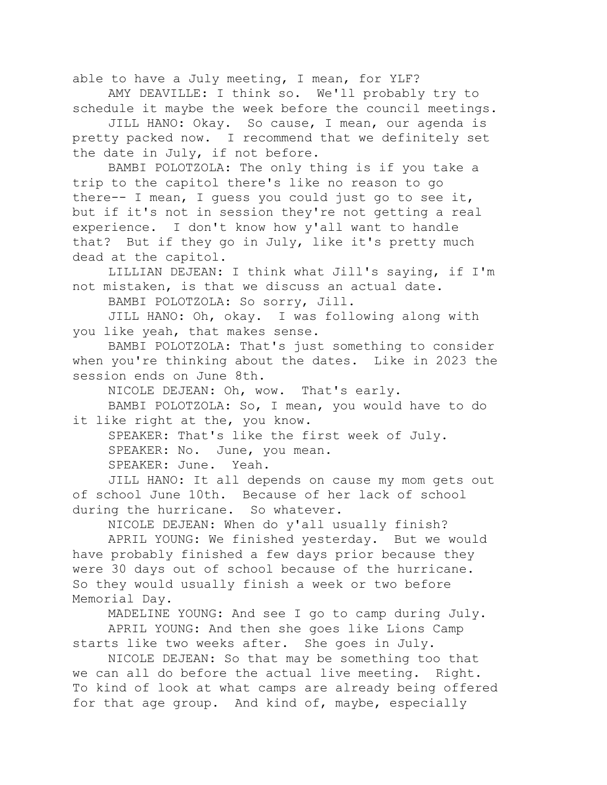able to have a July meeting, I mean, for YLF?

AMY DEAVILLE: I think so. We'll probably try to schedule it maybe the week before the council meetings.

JILL HANO: Okay. So cause, I mean, our agenda is pretty packed now. I recommend that we definitely set the date in July, if not before.

BAMBI POLOTZOLA: The only thing is if you take a trip to the capitol there's like no reason to go there-- I mean, I guess you could just go to see it, but if it's not in session they're not getting a real experience. I don't know how y'all want to handle that? But if they go in July, like it's pretty much dead at the capitol.

LILLIAN DEJEAN: I think what Jill's saying, if I'm not mistaken, is that we discuss an actual date.

BAMBI POLOTZOLA: So sorry, Jill.

JILL HANO: Oh, okay. I was following along with you like yeah, that makes sense.

BAMBI POLOTZOLA: That's just something to consider when you're thinking about the dates. Like in 2023 the session ends on June 8th.

NICOLE DEJEAN: Oh, wow. That's early.

BAMBI POLOTZOLA: So, I mean, you would have to do it like right at the, you know.

SPEAKER: That's like the first week of July.

SPEAKER: No. June, you mean.

SPEAKER: June. Yeah.

JILL HANO: It all depends on cause my mom gets out of school June 10th. Because of her lack of school during the hurricane. So whatever.

NICOLE DEJEAN: When do y'all usually finish?

APRIL YOUNG: We finished yesterday. But we would have probably finished a few days prior because they were 30 days out of school because of the hurricane. So they would usually finish a week or two before Memorial Day.

MADELINE YOUNG: And see I go to camp during July. APRIL YOUNG: And then she goes like Lions Camp starts like two weeks after. She goes in July.

NICOLE DEJEAN: So that may be something too that we can all do before the actual live meeting. Right. To kind of look at what camps are already being offered for that age group. And kind of, maybe, especially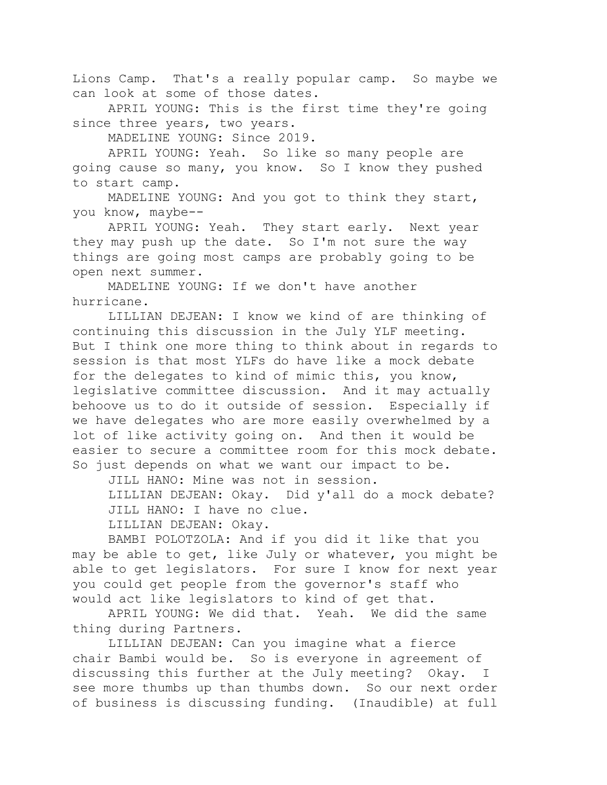Lions Camp. That's a really popular camp. So maybe we can look at some of those dates.

APRIL YOUNG: This is the first time they're going since three years, two years.

MADELINE YOUNG: Since 2019.

APRIL YOUNG: Yeah. So like so many people are going cause so many, you know. So I know they pushed to start camp.

MADELINE YOUNG: And you got to think they start, you know, maybe--

APRIL YOUNG: Yeah. They start early. Next year they may push up the date. So I'm not sure the way things are going most camps are probably going to be open next summer.

MADELINE YOUNG: If we don't have another hurricane.

LILLIAN DEJEAN: I know we kind of are thinking of continuing this discussion in the July YLF meeting. But I think one more thing to think about in regards to session is that most YLFs do have like a mock debate for the delegates to kind of mimic this, you know, legislative committee discussion. And it may actually behoove us to do it outside of session. Especially if we have delegates who are more easily overwhelmed by a lot of like activity going on. And then it would be easier to secure a committee room for this mock debate. So just depends on what we want our impact to be.

JILL HANO: Mine was not in session.

LILLIAN DEJEAN: Okay. Did y'all do a mock debate? JILL HANO: I have no clue.

LILLIAN DEJEAN: Okay.

BAMBI POLOTZOLA: And if you did it like that you may be able to get, like July or whatever, you might be able to get legislators. For sure I know for next year you could get people from the governor's staff who would act like legislators to kind of get that.

APRIL YOUNG: We did that. Yeah. We did the same thing during Partners.

LILLIAN DEJEAN: Can you imagine what a fierce chair Bambi would be. So is everyone in agreement of discussing this further at the July meeting? Okay. I see more thumbs up than thumbs down. So our next order of business is discussing funding. (Inaudible) at full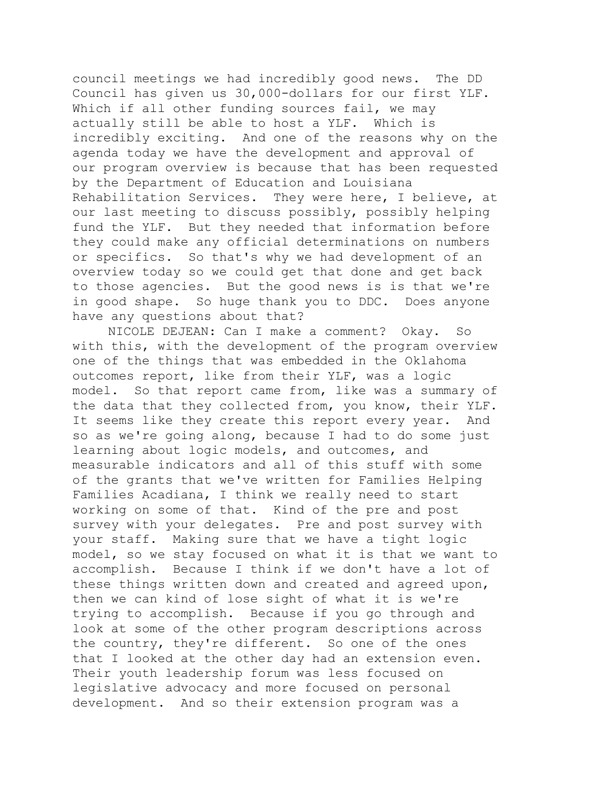council meetings we had incredibly good news. The DD Council has given us 30,000-dollars for our first YLF. Which if all other funding sources fail, we may actually still be able to host a YLF. Which is incredibly exciting. And one of the reasons why on the agenda today we have the development and approval of our program overview is because that has been requested by the Department of Education and Louisiana Rehabilitation Services. They were here, I believe, at our last meeting to discuss possibly, possibly helping fund the YLF. But they needed that information before they could make any official determinations on numbers or specifics. So that's why we had development of an overview today so we could get that done and get back to those agencies. But the good news is is that we're in good shape. So huge thank you to DDC. Does anyone have any questions about that?

NICOLE DEJEAN: Can I make a comment? Okay. So with this, with the development of the program overview one of the things that was embedded in the Oklahoma outcomes report, like from their YLF, was a logic model. So that report came from, like was a summary of the data that they collected from, you know, their YLF. It seems like they create this report every year. And so as we're going along, because I had to do some just learning about logic models, and outcomes, and measurable indicators and all of this stuff with some of the grants that we've written for Families Helping Families Acadiana, I think we really need to start working on some of that. Kind of the pre and post survey with your delegates. Pre and post survey with your staff. Making sure that we have a tight logic model, so we stay focused on what it is that we want to accomplish. Because I think if we don't have a lot of these things written down and created and agreed upon, then we can kind of lose sight of what it is we're trying to accomplish. Because if you go through and look at some of the other program descriptions across the country, they're different. So one of the ones that I looked at the other day had an extension even. Their youth leadership forum was less focused on legislative advocacy and more focused on personal development. And so their extension program was a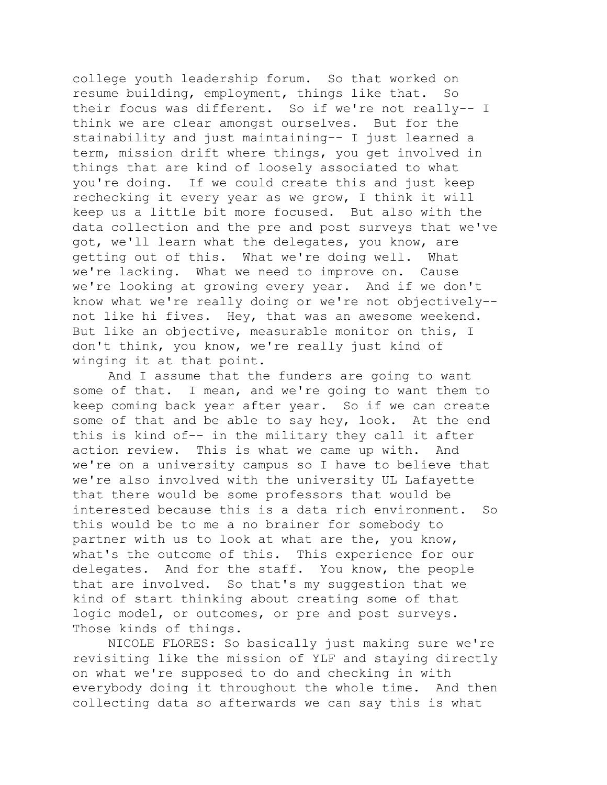college youth leadership forum. So that worked on resume building, employment, things like that. So their focus was different. So if we're not really-- I think we are clear amongst ourselves. But for the stainability and just maintaining-- I just learned a term, mission drift where things, you get involved in things that are kind of loosely associated to what you're doing. If we could create this and just keep rechecking it every year as we grow, I think it will keep us a little bit more focused. But also with the data collection and the pre and post surveys that we've got, we'll learn what the delegates, you know, are getting out of this. What we're doing well. What we're lacking. What we need to improve on. Cause we're looking at growing every year. And if we don't know what we're really doing or we're not objectively- not like hi fives. Hey, that was an awesome weekend. But like an objective, measurable monitor on this, I don't think, you know, we're really just kind of winging it at that point.

And I assume that the funders are going to want some of that. I mean, and we're going to want them to keep coming back year after year. So if we can create some of that and be able to say hey, look. At the end this is kind of-- in the military they call it after action review. This is what we came up with. And we're on a university campus so I have to believe that we're also involved with the university UL Lafayette that there would be some professors that would be interested because this is a data rich environment. So this would be to me a no brainer for somebody to partner with us to look at what are the, you know, what's the outcome of this. This experience for our delegates. And for the staff. You know, the people that are involved. So that's my suggestion that we kind of start thinking about creating some of that logic model, or outcomes, or pre and post surveys. Those kinds of things.

NICOLE FLORES: So basically just making sure we're revisiting like the mission of YLF and staying directly on what we're supposed to do and checking in with everybody doing it throughout the whole time. And then collecting data so afterwards we can say this is what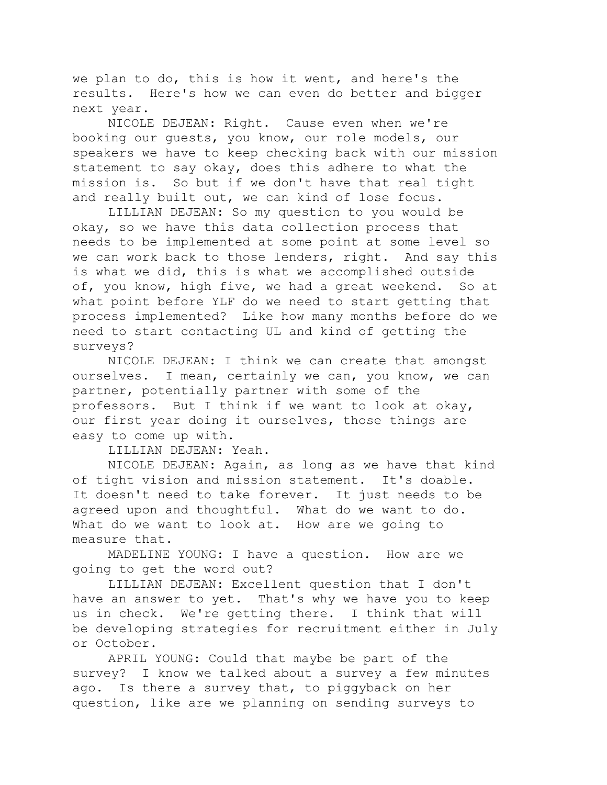we plan to do, this is how it went, and here's the results. Here's how we can even do better and bigger next year.

NICOLE DEJEAN: Right. Cause even when we're booking our guests, you know, our role models, our speakers we have to keep checking back with our mission statement to say okay, does this adhere to what the mission is. So but if we don't have that real tight and really built out, we can kind of lose focus.

LILLIAN DEJEAN: So my question to you would be okay, so we have this data collection process that needs to be implemented at some point at some level so we can work back to those lenders, right. And say this is what we did, this is what we accomplished outside of, you know, high five, we had a great weekend. So at what point before YLF do we need to start getting that process implemented? Like how many months before do we need to start contacting UL and kind of getting the surveys?

NICOLE DEJEAN: I think we can create that amongst ourselves. I mean, certainly we can, you know, we can partner, potentially partner with some of the professors. But I think if we want to look at okay, our first year doing it ourselves, those things are easy to come up with.

LILLIAN DEJEAN: Yeah.

NICOLE DEJEAN: Again, as long as we have that kind of tight vision and mission statement. It's doable. It doesn't need to take forever. It just needs to be agreed upon and thoughtful. What do we want to do. What do we want to look at. How are we going to measure that.

MADELINE YOUNG: I have a question. How are we going to get the word out?

LILLIAN DEJEAN: Excellent question that I don't have an answer to yet. That's why we have you to keep us in check. We're getting there. I think that will be developing strategies for recruitment either in July or October.

APRIL YOUNG: Could that maybe be part of the survey? I know we talked about a survey a few minutes ago. Is there a survey that, to piggyback on her question, like are we planning on sending surveys to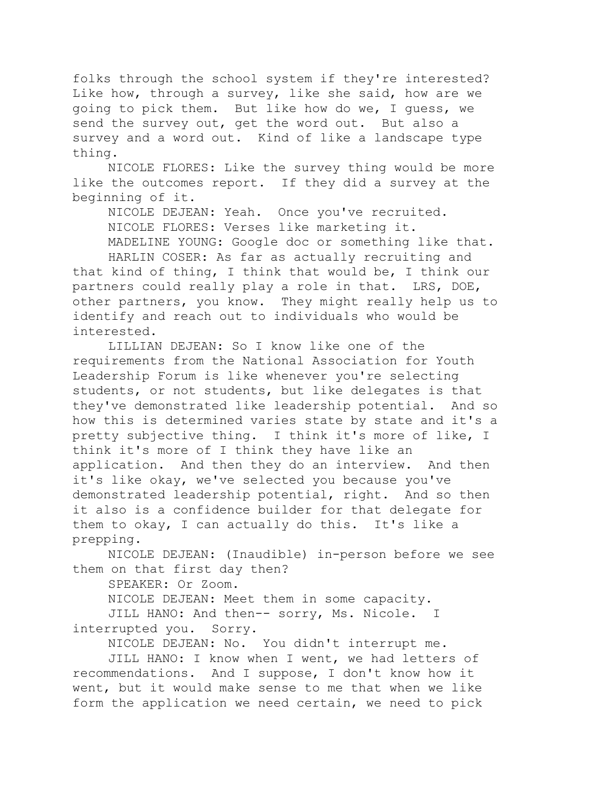folks through the school system if they're interested? Like how, through a survey, like she said, how are we going to pick them. But like how do we, I guess, we send the survey out, get the word out. But also a survey and a word out. Kind of like a landscape type thing.

NICOLE FLORES: Like the survey thing would be more like the outcomes report. If they did a survey at the beginning of it.

NICOLE DEJEAN: Yeah. Once you've recruited. NICOLE FLORES: Verses like marketing it.

MADELINE YOUNG: Google doc or something like that. HARLIN COSER: As far as actually recruiting and that kind of thing, I think that would be, I think our partners could really play a role in that. LRS, DOE, other partners, you know. They might really help us to identify and reach out to individuals who would be interested.

LILLIAN DEJEAN: So I know like one of the requirements from the National Association for Youth Leadership Forum is like whenever you're selecting students, or not students, but like delegates is that they've demonstrated like leadership potential. And so how this is determined varies state by state and it's a pretty subjective thing. I think it's more of like, I think it's more of I think they have like an application. And then they do an interview. And then it's like okay, we've selected you because you've demonstrated leadership potential, right. And so then it also is a confidence builder for that delegate for them to okay, I can actually do this. It's like a prepping.

NICOLE DEJEAN: (Inaudible) in-person before we see them on that first day then?

SPEAKER: Or Zoom.

NICOLE DEJEAN: Meet them in some capacity.

JILL HANO: And then-- sorry, Ms. Nicole. I interrupted you. Sorry.

NICOLE DEJEAN: No. You didn't interrupt me.

JILL HANO: I know when I went, we had letters of recommendations. And I suppose, I don't know how it went, but it would make sense to me that when we like form the application we need certain, we need to pick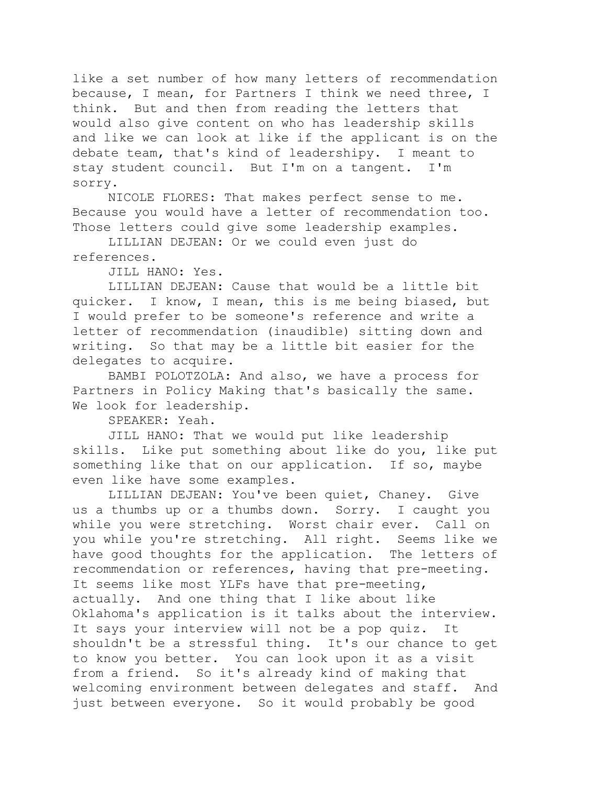like a set number of how many letters of recommendation because, I mean, for Partners I think we need three, I think. But and then from reading the letters that would also give content on who has leadership skills and like we can look at like if the applicant is on the debate team, that's kind of leadershipy. I meant to stay student council. But I'm on a tangent. I'm sorry.

NICOLE FLORES: That makes perfect sense to me. Because you would have a letter of recommendation too. Those letters could give some leadership examples.

LILLIAN DEJEAN: Or we could even just do references.

JILL HANO: Yes.

LILLIAN DEJEAN: Cause that would be a little bit quicker. I know, I mean, this is me being biased, but I would prefer to be someone's reference and write a letter of recommendation (inaudible) sitting down and writing. So that may be a little bit easier for the delegates to acquire.

BAMBI POLOTZOLA: And also, we have a process for Partners in Policy Making that's basically the same. We look for leadership.

SPEAKER: Yeah.

JILL HANO: That we would put like leadership skills. Like put something about like do you, like put something like that on our application. If so, maybe even like have some examples.

LILLIAN DEJEAN: You've been quiet, Chaney. Give us a thumbs up or a thumbs down. Sorry. I caught you while you were stretching. Worst chair ever. Call on you while you're stretching. All right. Seems like we have good thoughts for the application. The letters of recommendation or references, having that pre-meeting. It seems like most YLFs have that pre-meeting, actually. And one thing that I like about like Oklahoma's application is it talks about the interview. It says your interview will not be a pop quiz. It shouldn't be a stressful thing. It's our chance to get to know you better. You can look upon it as a visit from a friend. So it's already kind of making that welcoming environment between delegates and staff. And just between everyone. So it would probably be good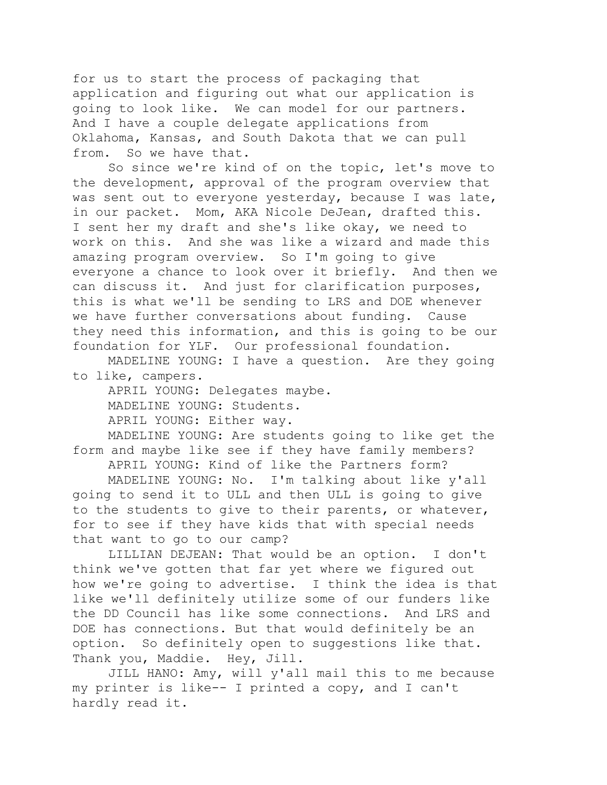for us to start the process of packaging that application and figuring out what our application is going to look like. We can model for our partners. And I have a couple delegate applications from Oklahoma, Kansas, and South Dakota that we can pull from. So we have that.

So since we're kind of on the topic, let's move to the development, approval of the program overview that was sent out to everyone yesterday, because I was late, in our packet. Mom, AKA Nicole DeJean, drafted this. I sent her my draft and she's like okay, we need to work on this. And she was like a wizard and made this amazing program overview. So I'm going to give everyone a chance to look over it briefly. And then we can discuss it. And just for clarification purposes, this is what we'll be sending to LRS and DOE whenever we have further conversations about funding. Cause they need this information, and this is going to be our foundation for YLF. Our professional foundation.

MADELINE YOUNG: I have a question. Are they going to like, campers.

APRIL YOUNG: Delegates maybe. MADELINE YOUNG: Students. APRIL YOUNG: Either way.

MADELINE YOUNG: Are students going to like get the form and maybe like see if they have family members?

APRIL YOUNG: Kind of like the Partners form? MADELINE YOUNG: No. I'm talking about like y'all going to send it to ULL and then ULL is going to give to the students to give to their parents, or whatever, for to see if they have kids that with special needs that want to go to our camp?

LILLIAN DEJEAN: That would be an option. I don't think we've gotten that far yet where we figured out how we're going to advertise. I think the idea is that like we'll definitely utilize some of our funders like the DD Council has like some connections. And LRS and DOE has connections. But that would definitely be an option. So definitely open to suggestions like that. Thank you, Maddie. Hey, Jill.

JILL HANO: Amy, will y'all mail this to me because my printer is like-- I printed a copy, and I can't hardly read it.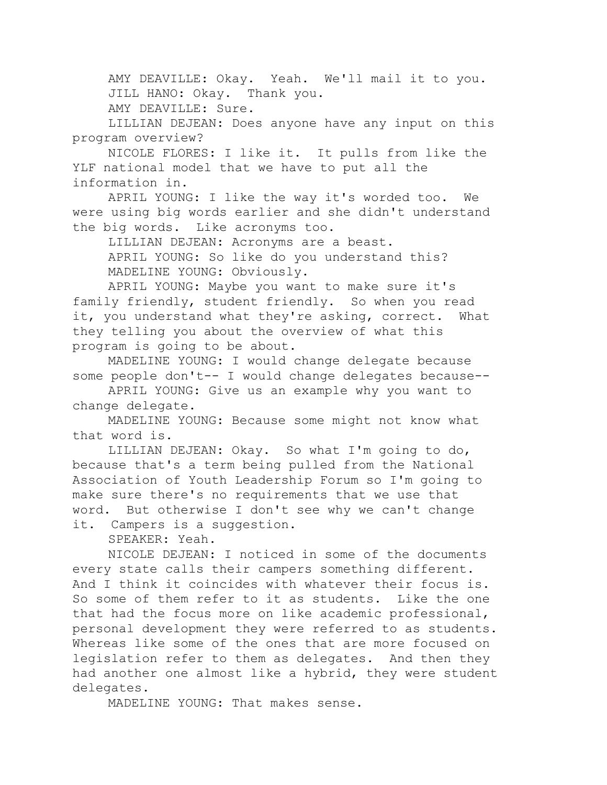AMY DEAVILLE: Okay. Yeah. We'll mail it to you. JILL HANO: Okay. Thank you.

AMY DEAVILLE: Sure.

LILLIAN DEJEAN: Does anyone have any input on this program overview?

NICOLE FLORES: I like it. It pulls from like the YLF national model that we have to put all the information in.

APRIL YOUNG: I like the way it's worded too. We were using big words earlier and she didn't understand the big words. Like acronyms too.

LILLIAN DEJEAN: Acronyms are a beast. APRIL YOUNG: So like do you understand this? MADELINE YOUNG: Obviously.

APRIL YOUNG: Maybe you want to make sure it's family friendly, student friendly. So when you read it, you understand what they're asking, correct. What they telling you about the overview of what this program is going to be about.

MADELINE YOUNG: I would change delegate because some people don't-- I would change delegates because--

APRIL YOUNG: Give us an example why you want to change delegate.

MADELINE YOUNG: Because some might not know what that word is.

LILLIAN DEJEAN: Okay. So what I'm going to do, because that's a term being pulled from the National Association of Youth Leadership Forum so I'm going to make sure there's no requirements that we use that word. But otherwise I don't see why we can't change it. Campers is a suggestion.

SPEAKER: Yeah.

NICOLE DEJEAN: I noticed in some of the documents every state calls their campers something different. And I think it coincides with whatever their focus is. So some of them refer to it as students. Like the one that had the focus more on like academic professional, personal development they were referred to as students. Whereas like some of the ones that are more focused on legislation refer to them as delegates. And then they had another one almost like a hybrid, they were student delegates.

MADELINE YOUNG: That makes sense.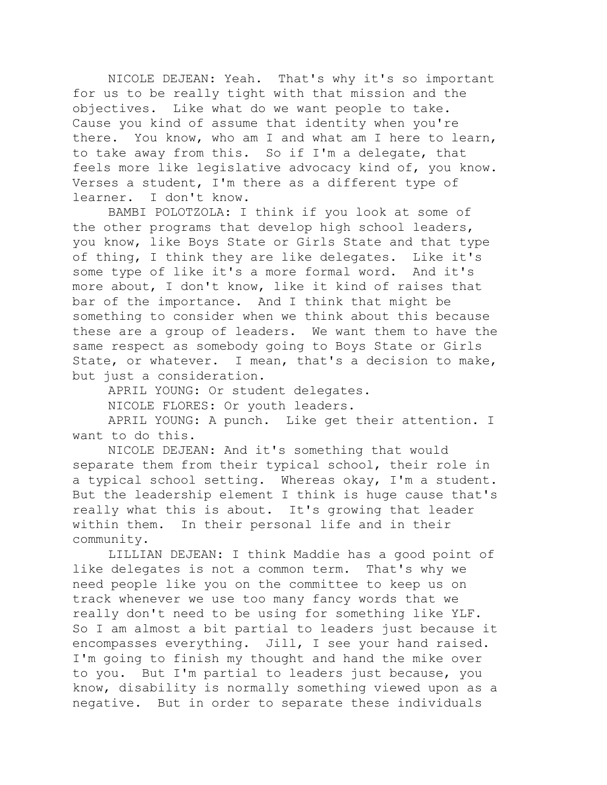NICOLE DEJEAN: Yeah. That's why it's so important for us to be really tight with that mission and the objectives. Like what do we want people to take. Cause you kind of assume that identity when you're there. You know, who am I and what am I here to learn, to take away from this. So if I'm a delegate, that feels more like legislative advocacy kind of, you know. Verses a student, I'm there as a different type of learner. I don't know.

BAMBI POLOTZOLA: I think if you look at some of the other programs that develop high school leaders, you know, like Boys State or Girls State and that type of thing, I think they are like delegates. Like it's some type of like it's a more formal word. And it's more about, I don't know, like it kind of raises that bar of the importance. And I think that might be something to consider when we think about this because these are a group of leaders. We want them to have the same respect as somebody going to Boys State or Girls State, or whatever. I mean, that's a decision to make, but just a consideration.

APRIL YOUNG: Or student delegates. NICOLE FLORES: Or youth leaders. APRIL YOUNG: A punch. Like get their attention. I

want to do this.

NICOLE DEJEAN: And it's something that would separate them from their typical school, their role in a typical school setting. Whereas okay, I'm a student. But the leadership element I think is huge cause that's really what this is about. It's growing that leader within them. In their personal life and in their community.

LILLIAN DEJEAN: I think Maddie has a good point of like delegates is not a common term. That's why we need people like you on the committee to keep us on track whenever we use too many fancy words that we really don't need to be using for something like YLF. So I am almost a bit partial to leaders just because it encompasses everything. Jill, I see your hand raised. I'm going to finish my thought and hand the mike over to you. But I'm partial to leaders just because, you know, disability is normally something viewed upon as a negative. But in order to separate these individuals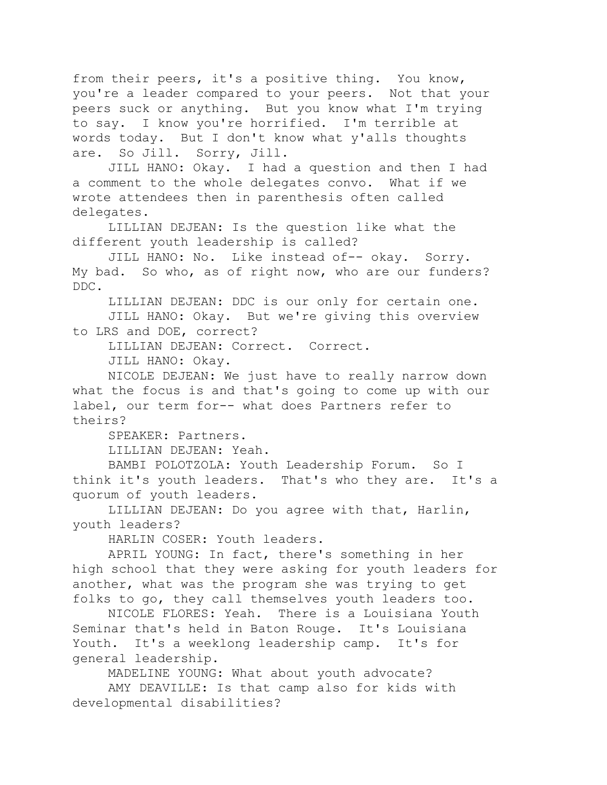from their peers, it's a positive thing. You know, you're a leader compared to your peers. Not that your peers suck or anything. But you know what I'm trying to say. I know you're horrified. I'm terrible at words today. But I don't know what y'alls thoughts are. So Jill. Sorry, Jill.

JILL HANO: Okay. I had a question and then I had a comment to the whole delegates convo. What if we wrote attendees then in parenthesis often called delegates.

LILLIAN DEJEAN: Is the question like what the different youth leadership is called?

JILL HANO: No. Like instead of-- okay. Sorry. My bad. So who, as of right now, who are our funders? DDC.

LILLIAN DEJEAN: DDC is our only for certain one.

JILL HANO: Okay. But we're giving this overview to LRS and DOE, correct?

LILLIAN DEJEAN: Correct. Correct.

JILL HANO: Okay.

NICOLE DEJEAN: We just have to really narrow down what the focus is and that's going to come up with our label, our term for-- what does Partners refer to theirs?

SPEAKER: Partners.

LILLIAN DEJEAN: Yeah.

BAMBI POLOTZOLA: Youth Leadership Forum. So I think it's youth leaders. That's who they are. It's a quorum of youth leaders.

LILLIAN DEJEAN: Do you agree with that, Harlin, youth leaders?

HARLIN COSER: Youth leaders.

APRIL YOUNG: In fact, there's something in her high school that they were asking for youth leaders for another, what was the program she was trying to get folks to go, they call themselves youth leaders too.

NICOLE FLORES: Yeah. There is a Louisiana Youth Seminar that's held in Baton Rouge. It's Louisiana Youth. It's a weeklong leadership camp. It's for general leadership.

MADELINE YOUNG: What about youth advocate?

AMY DEAVILLE: Is that camp also for kids with developmental disabilities?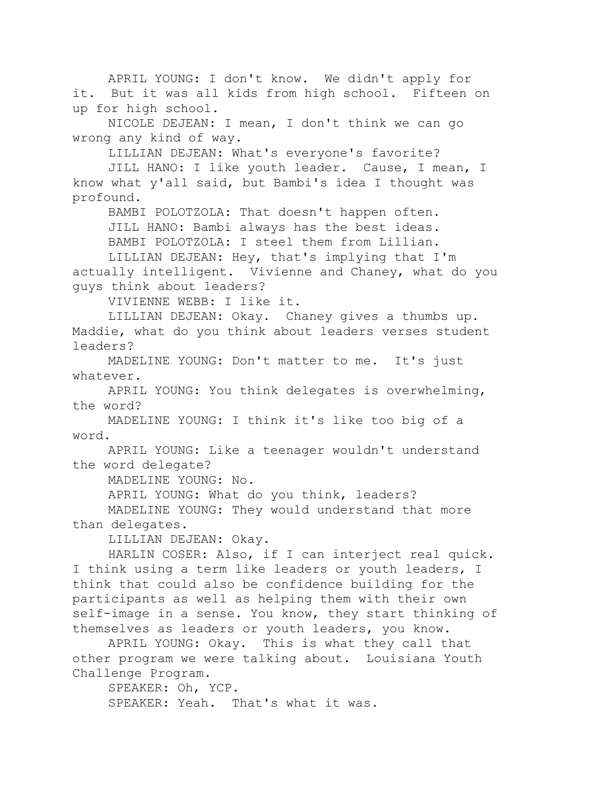APRIL YOUNG: I don't know. We didn't apply for it. But it was all kids from high school. Fifteen on up for high school.

NICOLE DEJEAN: I mean, I don't think we can go wrong any kind of way.

LILLIAN DEJEAN: What's everyone's favorite?

JILL HANO: I like youth leader. Cause, I mean, I know what y'all said, but Bambi's idea I thought was profound.

BAMBI POLOTZOLA: That doesn't happen often. JILL HANO: Bambi always has the best ideas. BAMBI POLOTZOLA: I steel them from Lillian.

LILLIAN DEJEAN: Hey, that's implying that I'm actually intelligent. Vivienne and Chaney, what do you guys think about leaders?

VIVIENNE WEBB: I like it.

LILLIAN DEJEAN: Okay. Chaney gives a thumbs up. Maddie, what do you think about leaders verses student leaders?

MADELINE YOUNG: Don't matter to me. It's just whatever.

APRIL YOUNG: You think delegates is overwhelming, the word?

MADELINE YOUNG: I think it's like too big of a word.

APRIL YOUNG: Like a teenager wouldn't understand the word delegate?

MADELINE YOUNG: No.

APRIL YOUNG: What do you think, leaders?

MADELINE YOUNG: They would understand that more than delegates.

LILLIAN DEJEAN: Okay.

HARLIN COSER: Also, if I can interject real quick. I think using a term like leaders or youth leaders, I think that could also be confidence building for the participants as well as helping them with their own self-image in a sense. You know, they start thinking of themselves as leaders or youth leaders, you know.

APRIL YOUNG: Okay. This is what they call that other program we were talking about. Louisiana Youth Challenge Program.

SPEAKER: Oh, YCP. SPEAKER: Yeah. That's what it was.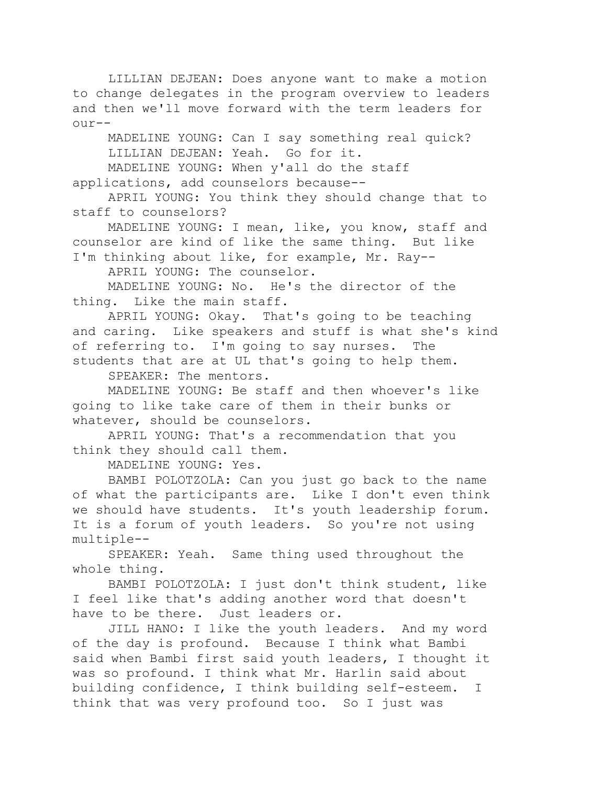LILLIAN DEJEAN: Does anyone want to make a motion to change delegates in the program overview to leaders and then we'll move forward with the term leaders for our--

MADELINE YOUNG: Can I say something real quick? LILLIAN DEJEAN: Yeah. Go for it.

MADELINE YOUNG: When y'all do the staff applications, add counselors because--

APRIL YOUNG: You think they should change that to staff to counselors?

MADELINE YOUNG: I mean, like, you know, staff and counselor are kind of like the same thing. But like I'm thinking about like, for example, Mr. Ray--

APRIL YOUNG: The counselor.

MADELINE YOUNG: No. He's the director of the thing. Like the main staff.

APRIL YOUNG: Okay. That's going to be teaching and caring. Like speakers and stuff is what she's kind of referring to. I'm going to say nurses. The students that are at UL that's going to help them.

SPEAKER: The mentors.

MADELINE YOUNG: Be staff and then whoever's like going to like take care of them in their bunks or whatever, should be counselors.

APRIL YOUNG: That's a recommendation that you think they should call them.

MADELINE YOUNG: Yes.

BAMBI POLOTZOLA: Can you just go back to the name of what the participants are. Like I don't even think we should have students. It's youth leadership forum. It is a forum of youth leaders. So you're not using multiple--

SPEAKER: Yeah. Same thing used throughout the whole thing.

BAMBI POLOTZOLA: I just don't think student, like I feel like that's adding another word that doesn't have to be there. Just leaders or.

JILL HANO: I like the youth leaders. And my word of the day is profound. Because I think what Bambi said when Bambi first said youth leaders, I thought it was so profound. I think what Mr. Harlin said about building confidence, I think building self-esteem. I think that was very profound too. So I just was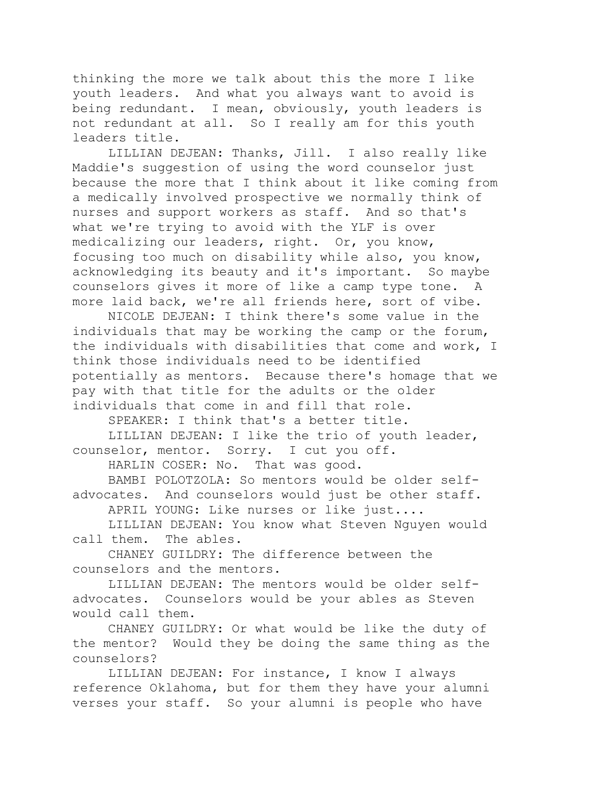thinking the more we talk about this the more I like youth leaders. And what you always want to avoid is being redundant. I mean, obviously, youth leaders is not redundant at all. So I really am for this youth leaders title.

LILLIAN DEJEAN: Thanks, Jill. I also really like Maddie's suggestion of using the word counselor just because the more that I think about it like coming from a medically involved prospective we normally think of nurses and support workers as staff. And so that's what we're trying to avoid with the YLF is over medicalizing our leaders, right. Or, you know, focusing too much on disability while also, you know, acknowledging its beauty and it's important. So maybe counselors gives it more of like a camp type tone. A more laid back, we're all friends here, sort of vibe.

NICOLE DEJEAN: I think there's some value in the individuals that may be working the camp or the forum, the individuals with disabilities that come and work, I think those individuals need to be identified potentially as mentors. Because there's homage that we pay with that title for the adults or the older individuals that come in and fill that role.

SPEAKER: I think that's a better title.

LILLIAN DEJEAN: I like the trio of youth leader, counselor, mentor. Sorry. I cut you off.

HARLIN COSER: No. That was good.

BAMBI POLOTZOLA: So mentors would be older selfadvocates. And counselors would just be other staff.

APRIL YOUNG: Like nurses or like just....

LILLIAN DEJEAN: You know what Steven Nguyen would call them. The ables.

CHANEY GUILDRY: The difference between the counselors and the mentors.

LILLIAN DEJEAN: The mentors would be older selfadvocates. Counselors would be your ables as Steven would call them.

CHANEY GUILDRY: Or what would be like the duty of the mentor? Would they be doing the same thing as the counselors?

LILLIAN DEJEAN: For instance, I know I always reference Oklahoma, but for them they have your alumni verses your staff. So your alumni is people who have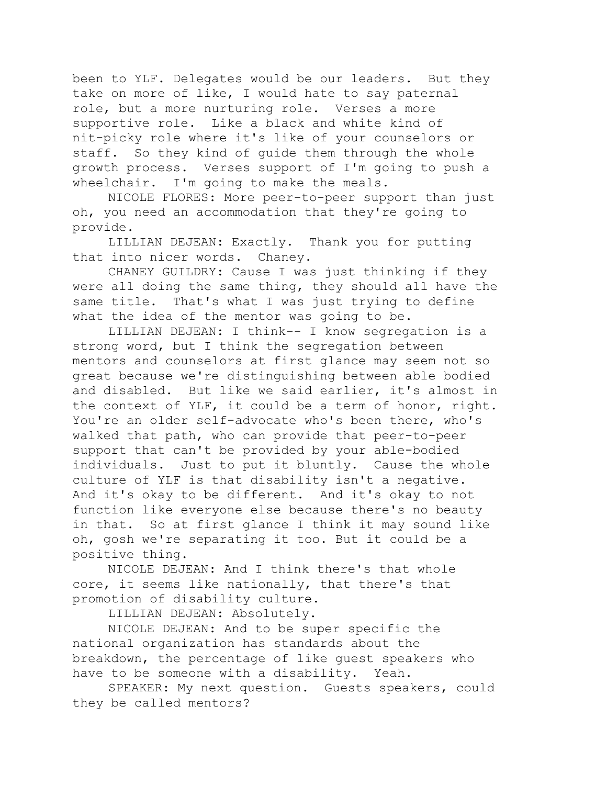been to YLF. Delegates would be our leaders. But they take on more of like, I would hate to say paternal role, but a more nurturing role. Verses a more supportive role. Like a black and white kind of nit-picky role where it's like of your counselors or staff. So they kind of guide them through the whole growth process. Verses support of I'm going to push a wheelchair. I'm going to make the meals.

NICOLE FLORES: More peer-to-peer support than just oh, you need an accommodation that they're going to provide.

LILLIAN DEJEAN: Exactly. Thank you for putting that into nicer words. Chaney.

CHANEY GUILDRY: Cause I was just thinking if they were all doing the same thing, they should all have the same title. That's what I was just trying to define what the idea of the mentor was going to be.

LILLIAN DEJEAN: I think-- I know segregation is a strong word, but I think the segregation between mentors and counselors at first glance may seem not so great because we're distinguishing between able bodied and disabled. But like we said earlier, it's almost in the context of YLF, it could be a term of honor, right. You're an older self-advocate who's been there, who's walked that path, who can provide that peer-to-peer support that can't be provided by your able-bodied individuals. Just to put it bluntly. Cause the whole culture of YLF is that disability isn't a negative. And it's okay to be different. And it's okay to not function like everyone else because there's no beauty in that. So at first glance I think it may sound like oh, gosh we're separating it too. But it could be a positive thing.

NICOLE DEJEAN: And I think there's that whole core, it seems like nationally, that there's that promotion of disability culture.

LILLIAN DEJEAN: Absolutely.

NICOLE DEJEAN: And to be super specific the national organization has standards about the breakdown, the percentage of like guest speakers who have to be someone with a disability. Yeah.

SPEAKER: My next question. Guests speakers, could they be called mentors?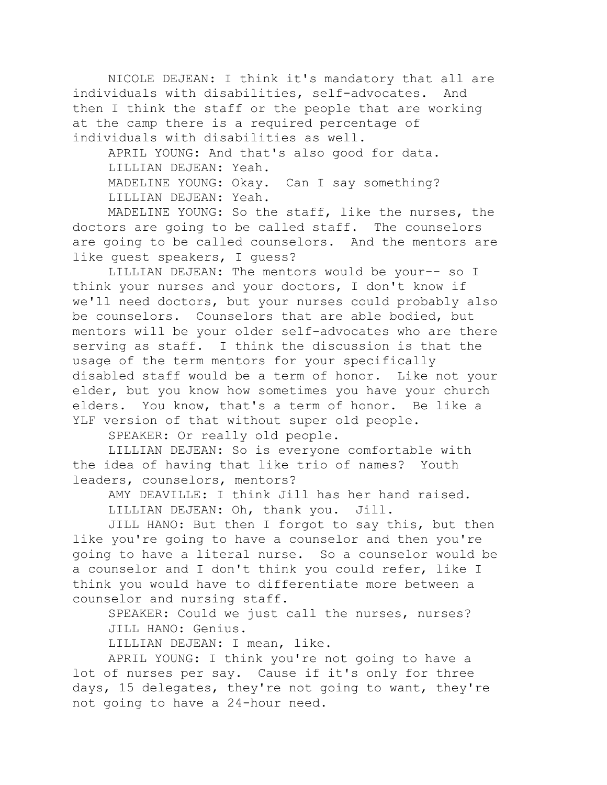NICOLE DEJEAN: I think it's mandatory that all are individuals with disabilities, self-advocates. And then I think the staff or the people that are working at the camp there is a required percentage of individuals with disabilities as well.

APRIL YOUNG: And that's also good for data. LILLIAN DEJEAN: Yeah. MADELINE YOUNG: Okay. Can I say something? LILLIAN DEJEAN: Yeah.

MADELINE YOUNG: So the staff, like the nurses, the doctors are going to be called staff. The counselors are going to be called counselors. And the mentors are like guest speakers, I guess?

LILLIAN DEJEAN: The mentors would be your-- so I think your nurses and your doctors, I don't know if we'll need doctors, but your nurses could probably also be counselors. Counselors that are able bodied, but mentors will be your older self-advocates who are there serving as staff. I think the discussion is that the usage of the term mentors for your specifically disabled staff would be a term of honor. Like not your elder, but you know how sometimes you have your church elders. You know, that's a term of honor. Be like a YLF version of that without super old people.

SPEAKER: Or really old people.

LILLIAN DEJEAN: So is everyone comfortable with the idea of having that like trio of names? Youth leaders, counselors, mentors?

AMY DEAVILLE: I think Jill has her hand raised. LILLIAN DEJEAN: Oh, thank you. Jill.

JILL HANO: But then I forgot to say this, but then like you're going to have a counselor and then you're going to have a literal nurse. So a counselor would be a counselor and I don't think you could refer, like I think you would have to differentiate more between a counselor and nursing staff.

SPEAKER: Could we just call the nurses, nurses? JILL HANO: Genius.

LILLIAN DEJEAN: I mean, like.

APRIL YOUNG: I think you're not going to have a lot of nurses per say. Cause if it's only for three days, 15 delegates, they're not going to want, they're not going to have a 24-hour need.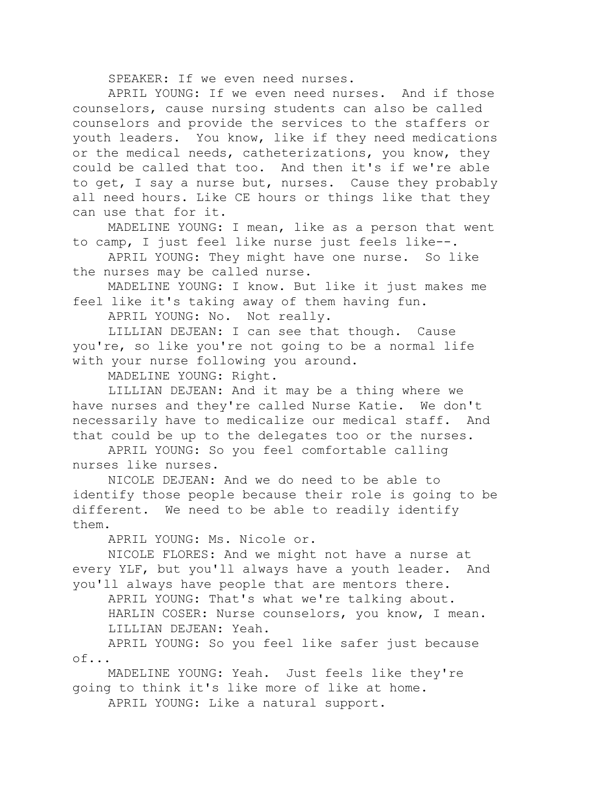SPEAKER: If we even need nurses.

APRIL YOUNG: If we even need nurses. And if those counselors, cause nursing students can also be called counselors and provide the services to the staffers or youth leaders. You know, like if they need medications or the medical needs, catheterizations, you know, they could be called that too. And then it's if we're able to get, I say a nurse but, nurses. Cause they probably all need hours. Like CE hours or things like that they can use that for it.

MADELINE YOUNG: I mean, like as a person that went to camp, I just feel like nurse just feels like--.

APRIL YOUNG: They might have one nurse. So like the nurses may be called nurse.

MADELINE YOUNG: I know. But like it just makes me feel like it's taking away of them having fun.

APRIL YOUNG: No. Not really.

LILLIAN DEJEAN: I can see that though. Cause you're, so like you're not going to be a normal life with your nurse following you around.

MADELINE YOUNG: Right.

LILLIAN DEJEAN: And it may be a thing where we have nurses and they're called Nurse Katie. We don't necessarily have to medicalize our medical staff. And that could be up to the delegates too or the nurses.

APRIL YOUNG: So you feel comfortable calling nurses like nurses.

NICOLE DEJEAN: And we do need to be able to identify those people because their role is going to be different. We need to be able to readily identify them.

APRIL YOUNG: Ms. Nicole or.

NICOLE FLORES: And we might not have a nurse at every YLF, but you'll always have a youth leader. And you'll always have people that are mentors there.

APRIL YOUNG: That's what we're talking about.

HARLIN COSER: Nurse counselors, you know, I mean. LILLIAN DEJEAN: Yeah.

APRIL YOUNG: So you feel like safer just because of...

MADELINE YOUNG: Yeah. Just feels like they're going to think it's like more of like at home.

APRIL YOUNG: Like a natural support.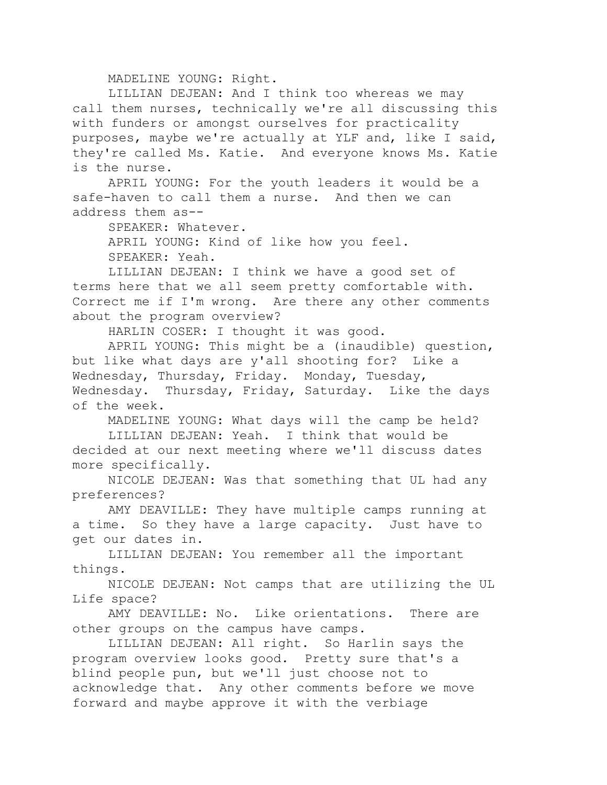MADELINE YOUNG: Right.

LILLIAN DEJEAN: And I think too whereas we may call them nurses, technically we're all discussing this with funders or amongst ourselves for practicality purposes, maybe we're actually at YLF and, like I said, they're called Ms. Katie. And everyone knows Ms. Katie is the nurse.

APRIL YOUNG: For the youth leaders it would be a safe-haven to call them a nurse. And then we can address them as--

SPEAKER: Whatever.

APRIL YOUNG: Kind of like how you feel. SPEAKER: Yeah.

LILLIAN DEJEAN: I think we have a good set of terms here that we all seem pretty comfortable with. Correct me if I'm wrong. Are there any other comments about the program overview?

HARLIN COSER: I thought it was good.

APRIL YOUNG: This might be a (inaudible) question, but like what days are y'all shooting for? Like a Wednesday, Thursday, Friday. Monday, Tuesday, Wednesday. Thursday, Friday, Saturday. Like the days of the week.

MADELINE YOUNG: What days will the camp be held?

LILLIAN DEJEAN: Yeah. I think that would be decided at our next meeting where we'll discuss dates more specifically.

NICOLE DEJEAN: Was that something that UL had any preferences?

AMY DEAVILLE: They have multiple camps running at a time. So they have a large capacity. Just have to get our dates in.

LILLIAN DEJEAN: You remember all the important things.

NICOLE DEJEAN: Not camps that are utilizing the UL Life space?

AMY DEAVILLE: No. Like orientations. There are other groups on the campus have camps.

LILLIAN DEJEAN: All right. So Harlin says the program overview looks good. Pretty sure that's a blind people pun, but we'll just choose not to acknowledge that. Any other comments before we move forward and maybe approve it with the verbiage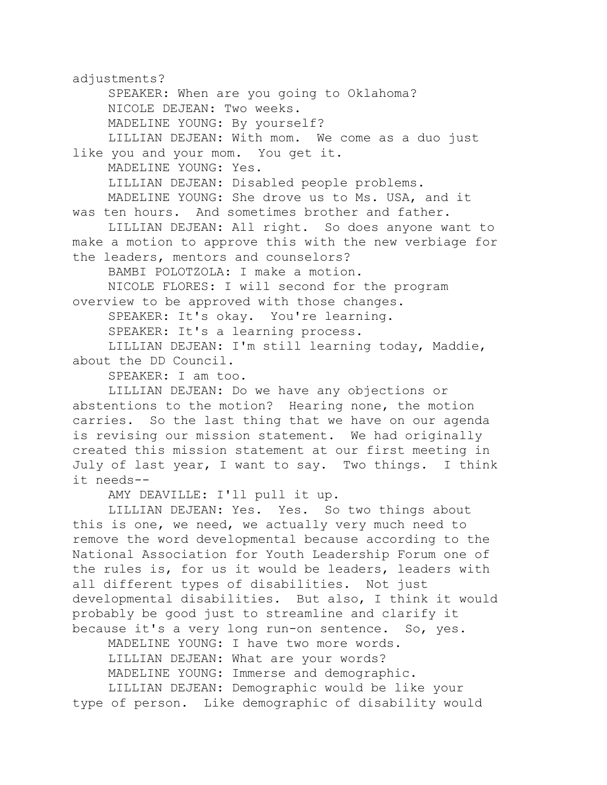adjustments? SPEAKER: When are you going to Oklahoma? NICOLE DEJEAN: Two weeks. MADELINE YOUNG: By yourself? LILLIAN DEJEAN: With mom. We come as a duo just like you and your mom. You get it. MADELINE YOUNG: Yes. LILLIAN DEJEAN: Disabled people problems. MADELINE YOUNG: She drove us to Ms. USA, and it was ten hours. And sometimes brother and father. LILLIAN DEJEAN: All right. So does anyone want to make a motion to approve this with the new verbiage for the leaders, mentors and counselors? BAMBI POLOTZOLA: I make a motion. NICOLE FLORES: I will second for the program overview to be approved with those changes. SPEAKER: It's okay. You're learning. SPEAKER: It's a learning process. LILLIAN DEJEAN: I'm still learning today, Maddie, about the DD Council.

SPEAKER: I am too.

LILLIAN DEJEAN: Do we have any objections or abstentions to the motion? Hearing none, the motion carries. So the last thing that we have on our agenda is revising our mission statement. We had originally created this mission statement at our first meeting in July of last year, I want to say. Two things. I think it needs--

AMY DEAVILLE: I'll pull it up.

LILLIAN DEJEAN: Yes. Yes. So two things about this is one, we need, we actually very much need to remove the word developmental because according to the National Association for Youth Leadership Forum one of the rules is, for us it would be leaders, leaders with all different types of disabilities. Not just developmental disabilities. But also, I think it would probably be good just to streamline and clarify it because it's a very long run-on sentence. So, yes.

MADELINE YOUNG: I have two more words. LILLIAN DEJEAN: What are your words? MADELINE YOUNG: Immerse and demographic. LILLIAN DEJEAN: Demographic would be like your

type of person. Like demographic of disability would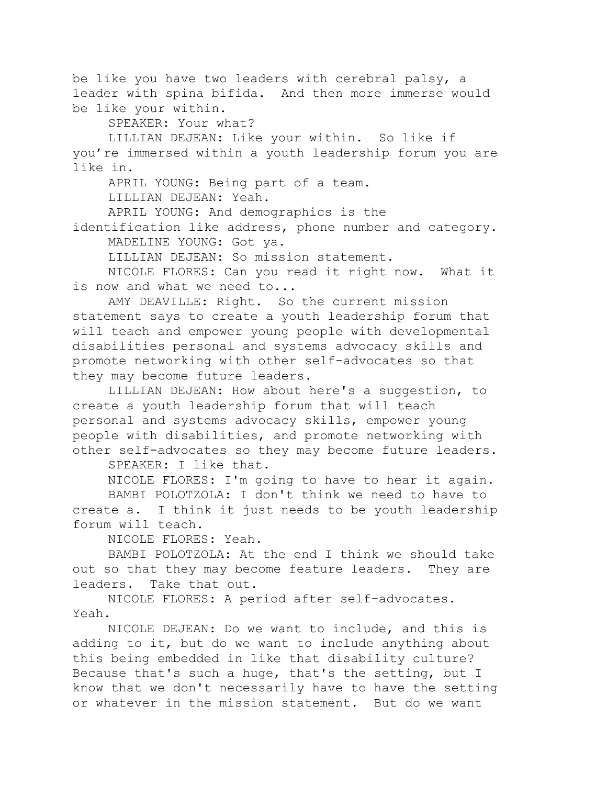be like you have two leaders with cerebral palsy, a leader with spina bifida. And then more immerse would be like your within.

SPEAKER: Your what?

LILLIAN DEJEAN: Like your within. So like if you're immersed within a youth leadership forum you are like in.

APRIL YOUNG: Being part of a team.

LILLIAN DEJEAN: Yeah.

APRIL YOUNG: And demographics is the

identification like address, phone number and category. MADELINE YOUNG: Got ya.

LILLIAN DEJEAN: So mission statement.

NICOLE FLORES: Can you read it right now. What it is now and what we need to...

AMY DEAVILLE: Right. So the current mission statement says to create a youth leadership forum that will teach and empower young people with developmental disabilities personal and systems advocacy skills and promote networking with other self-advocates so that they may become future leaders.

LILLIAN DEJEAN: How about here's a suggestion, to create a youth leadership forum that will teach personal and systems advocacy skills, empower young people with disabilities, and promote networking with other self-advocates so they may become future leaders.

SPEAKER: I like that.

NICOLE FLORES: I'm going to have to hear it again.

BAMBI POLOTZOLA: I don't think we need to have to create a. I think it just needs to be youth leadership forum will teach.

NICOLE FLORES: Yeah.

BAMBI POLOTZOLA: At the end I think we should take out so that they may become feature leaders. They are leaders. Take that out.

NICOLE FLORES: A period after self-advocates. Yeah.

NICOLE DEJEAN: Do we want to include, and this is adding to it, but do we want to include anything about this being embedded in like that disability culture? Because that's such a huge, that's the setting, but I know that we don't necessarily have to have the setting or whatever in the mission statement. But do we want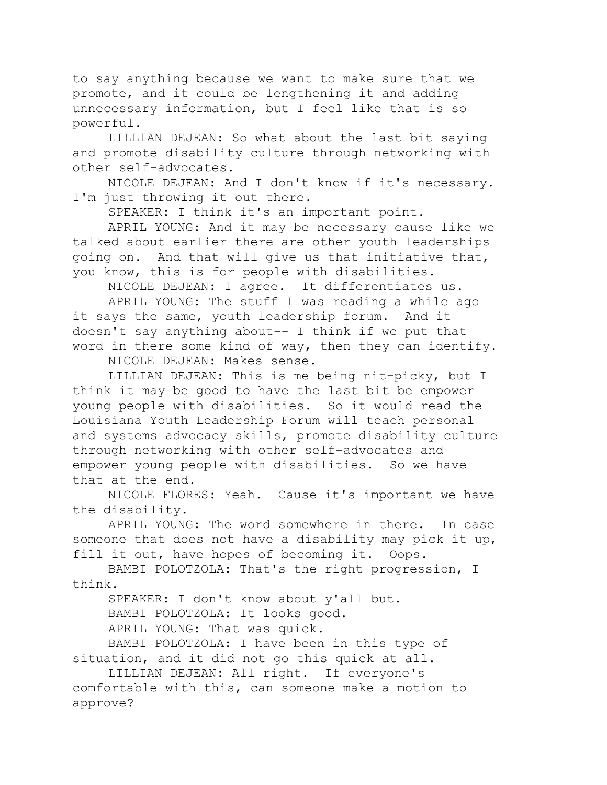to say anything because we want to make sure that we promote, and it could be lengthening it and adding unnecessary information, but I feel like that is so powerful.

LILLIAN DEJEAN: So what about the last bit saying and promote disability culture through networking with other self-advocates.

NICOLE DEJEAN: And I don't know if it's necessary. I'm just throwing it out there.

SPEAKER: I think it's an important point.

APRIL YOUNG: And it may be necessary cause like we talked about earlier there are other youth leaderships going on. And that will give us that initiative that, you know, this is for people with disabilities.

NICOLE DEJEAN: I agree. It differentiates us.

APRIL YOUNG: The stuff I was reading a while ago it says the same, youth leadership forum. And it doesn't say anything about-- I think if we put that word in there some kind of way, then they can identify.

NICOLE DEJEAN: Makes sense.

LILLIAN DEJEAN: This is me being nit-picky, but I think it may be good to have the last bit be empower young people with disabilities. So it would read the Louisiana Youth Leadership Forum will teach personal and systems advocacy skills, promote disability culture through networking with other self-advocates and empower young people with disabilities. So we have that at the end.

NICOLE FLORES: Yeah. Cause it's important we have the disability.

APRIL YOUNG: The word somewhere in there. In case someone that does not have a disability may pick it up, fill it out, have hopes of becoming it. Oops.

BAMBI POLOTZOLA: That's the right progression, I think.

SPEAKER: I don't know about y'all but.

BAMBI POLOTZOLA: It looks good.

APRIL YOUNG: That was quick.

BAMBI POLOTZOLA: I have been in this type of situation, and it did not go this quick at all.

LILLIAN DEJEAN: All right. If everyone's comfortable with this, can someone make a motion to approve?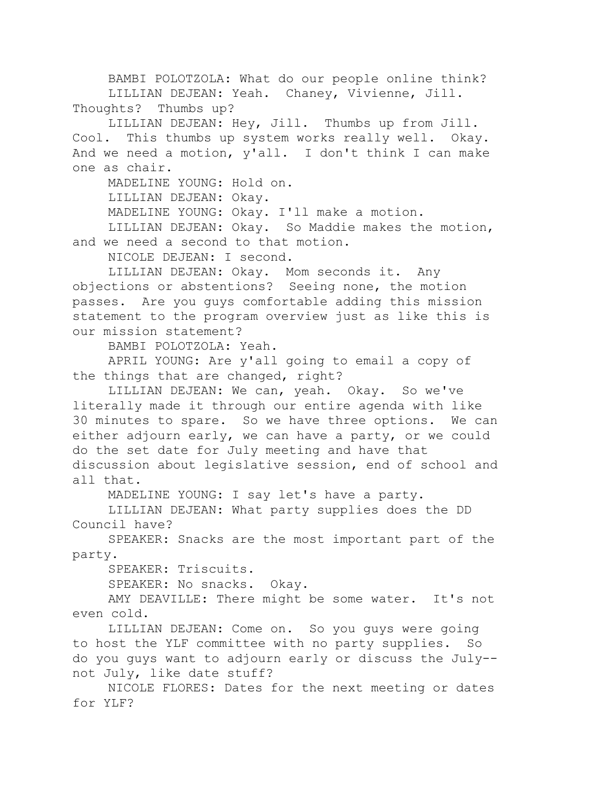BAMBI POLOTZOLA: What do our people online think? LILLIAN DEJEAN: Yeah. Chaney, Vivienne, Jill. Thoughts? Thumbs up?

LILLIAN DEJEAN: Hey, Jill. Thumbs up from Jill. Cool. This thumbs up system works really well. Okay. And we need a motion, y'all. I don't think I can make one as chair.

MADELINE YOUNG: Hold on.

LILLIAN DEJEAN: Okay.

MADELINE YOUNG: Okay. I'll make a motion.

LILLIAN DEJEAN: Okay. So Maddie makes the motion, and we need a second to that motion.

NICOLE DEJEAN: I second.

LILLIAN DEJEAN: Okay. Mom seconds it. Any objections or abstentions? Seeing none, the motion passes. Are you guys comfortable adding this mission statement to the program overview just as like this is our mission statement?

BAMBI POLOTZOLA: Yeah.

APRIL YOUNG: Are y'all going to email a copy of the things that are changed, right?

LILLIAN DEJEAN: We can, yeah. Okay. So we've literally made it through our entire agenda with like 30 minutes to spare. So we have three options. We can either adjourn early, we can have a party, or we could do the set date for July meeting and have that discussion about legislative session, end of school and all that.

MADELINE YOUNG: I say let's have a party.

LILLIAN DEJEAN: What party supplies does the DD Council have?

SPEAKER: Snacks are the most important part of the party.

SPEAKER: Triscuits.

SPEAKER: No snacks. Okay.

AMY DEAVILLE: There might be some water. It's not even cold.

LILLIAN DEJEAN: Come on. So you guys were going to host the YLF committee with no party supplies. So do you guys want to adjourn early or discuss the July- not July, like date stuff?

NICOLE FLORES: Dates for the next meeting or dates for YLF?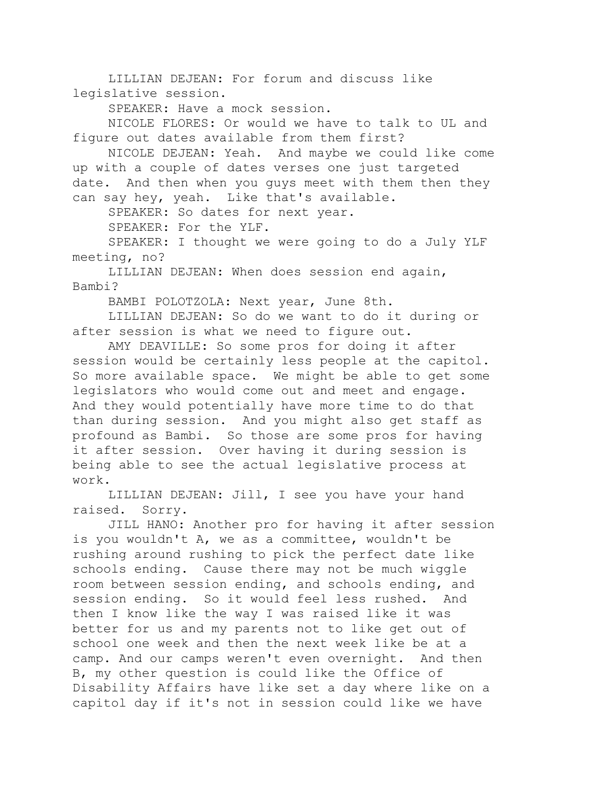LILLIAN DEJEAN: For forum and discuss like legislative session.

SPEAKER: Have a mock session.

NICOLE FLORES: Or would we have to talk to UL and figure out dates available from them first?

NICOLE DEJEAN: Yeah. And maybe we could like come up with a couple of dates verses one just targeted date. And then when you guys meet with them then they can say hey, yeah. Like that's available.

SPEAKER: So dates for next year.

SPEAKER: For the YLF.

SPEAKER: I thought we were going to do a July YLF meeting, no?

LILLIAN DEJEAN: When does session end again, Bambi?

BAMBI POLOTZOLA: Next year, June 8th.

LILLIAN DEJEAN: So do we want to do it during or after session is what we need to figure out.

AMY DEAVILLE: So some pros for doing it after session would be certainly less people at the capitol. So more available space. We might be able to get some legislators who would come out and meet and engage. And they would potentially have more time to do that than during session. And you might also get staff as profound as Bambi. So those are some pros for having it after session. Over having it during session is being able to see the actual legislative process at work.

LILLIAN DEJEAN: Jill, I see you have your hand raised. Sorry.

JILL HANO: Another pro for having it after session is you wouldn't A, we as a committee, wouldn't be rushing around rushing to pick the perfect date like schools ending. Cause there may not be much wiggle room between session ending, and schools ending, and session ending. So it would feel less rushed. And then I know like the way I was raised like it was better for us and my parents not to like get out of school one week and then the next week like be at a camp. And our camps weren't even overnight. And then B, my other question is could like the Office of Disability Affairs have like set a day where like on a capitol day if it's not in session could like we have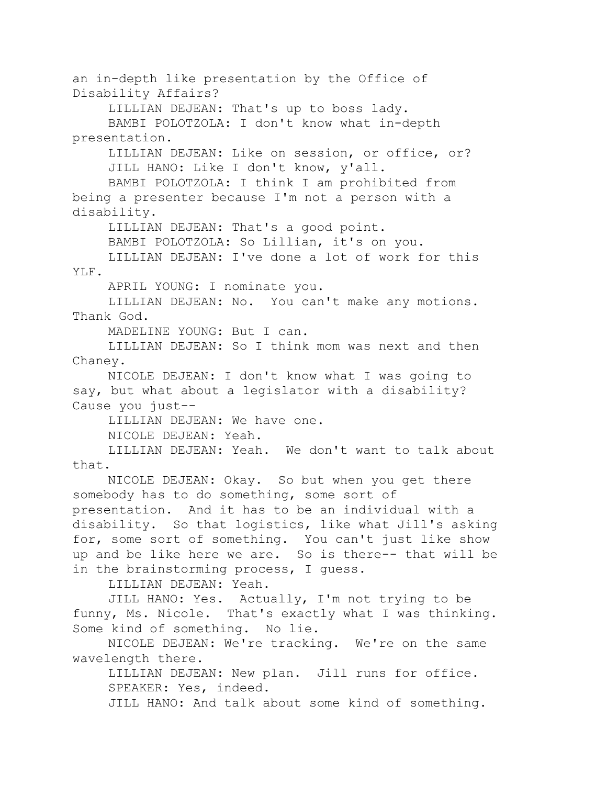an in-depth like presentation by the Office of Disability Affairs?

LILLIAN DEJEAN: That's up to boss lady. BAMBI POLOTZOLA: I don't know what in-depth presentation.

LILLIAN DEJEAN: Like on session, or office, or? JILL HANO: Like I don't know, y'all.

BAMBI POLOTZOLA: I think I am prohibited from being a presenter because I'm not a person with a disability.

LILLIAN DEJEAN: That's a good point.

BAMBI POLOTZOLA: So Lillian, it's on you.

LILLIAN DEJEAN: I've done a lot of work for this YLF.

APRIL YOUNG: I nominate you.

LILLIAN DEJEAN: No. You can't make any motions. Thank God.

MADELINE YOUNG: But I can.

LILLIAN DEJEAN: So I think mom was next and then Chaney.

NICOLE DEJEAN: I don't know what I was going to say, but what about a legislator with a disability? Cause you just--

LILLIAN DEJEAN: We have one.

NICOLE DEJEAN: Yeah.

LILLIAN DEJEAN: Yeah. We don't want to talk about that.

NICOLE DEJEAN: Okay. So but when you get there somebody has to do something, some sort of presentation. And it has to be an individual with a disability. So that logistics, like what Jill's asking for, some sort of something. You can't just like show up and be like here we are. So is there-- that will be in the brainstorming process, I guess.

LILLIAN DEJEAN: Yeah.

JILL HANO: Yes. Actually, I'm not trying to be funny, Ms. Nicole. That's exactly what I was thinking. Some kind of something. No lie.

NICOLE DEJEAN: We're tracking. We're on the same wavelength there.

LILLIAN DEJEAN: New plan. Jill runs for office. SPEAKER: Yes, indeed.

JILL HANO: And talk about some kind of something.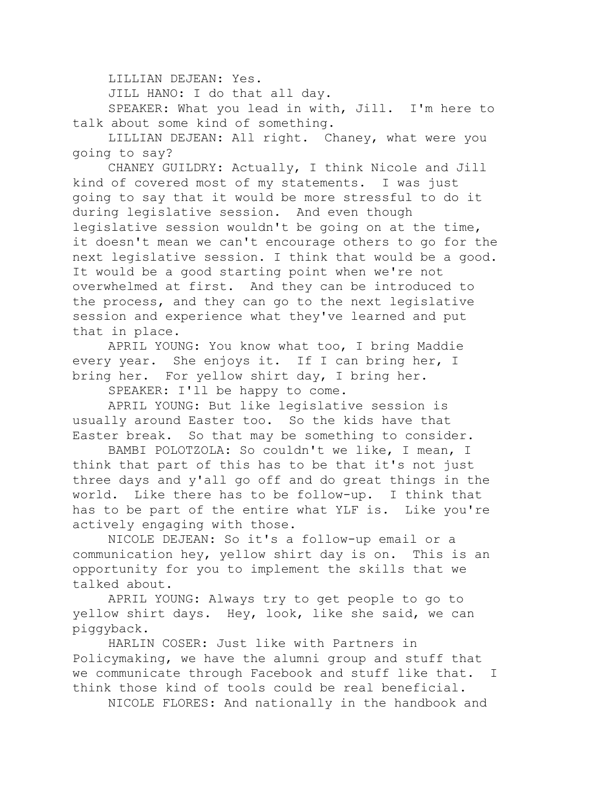LILLIAN DEJEAN: Yes.

JILL HANO: I do that all day.

SPEAKER: What you lead in with, Jill. I'm here to talk about some kind of something.

LILLIAN DEJEAN: All right. Chaney, what were you going to say?

CHANEY GUILDRY: Actually, I think Nicole and Jill kind of covered most of my statements. I was just going to say that it would be more stressful to do it during legislative session. And even though legislative session wouldn't be going on at the time, it doesn't mean we can't encourage others to go for the next legislative session. I think that would be a good. It would be a good starting point when we're not overwhelmed at first. And they can be introduced to the process, and they can go to the next legislative session and experience what they've learned and put that in place.

APRIL YOUNG: You know what too, I bring Maddie every year. She enjoys it. If I can bring her, I bring her. For yellow shirt day, I bring her.

SPEAKER: I'll be happy to come.

APRIL YOUNG: But like legislative session is usually around Easter too. So the kids have that Easter break. So that may be something to consider.

BAMBI POLOTZOLA: So couldn't we like, I mean, I think that part of this has to be that it's not just three days and y'all go off and do great things in the world. Like there has to be follow-up. I think that has to be part of the entire what YLF is. Like you're actively engaging with those.

NICOLE DEJEAN: So it's a follow-up email or a communication hey, yellow shirt day is on. This is an opportunity for you to implement the skills that we talked about.

APRIL YOUNG: Always try to get people to go to yellow shirt days. Hey, look, like she said, we can piggyback.

HARLIN COSER: Just like with Partners in Policymaking, we have the alumni group and stuff that we communicate through Facebook and stuff like that. I think those kind of tools could be real beneficial.

NICOLE FLORES: And nationally in the handbook and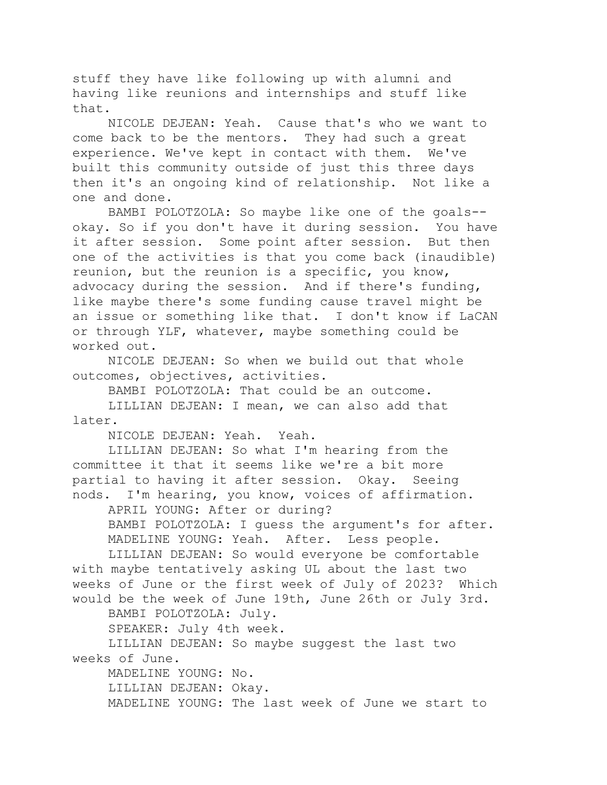stuff they have like following up with alumni and having like reunions and internships and stuff like that.

NICOLE DEJEAN: Yeah. Cause that's who we want to come back to be the mentors. They had such a great experience. We've kept in contact with them. We've built this community outside of just this three days then it's an ongoing kind of relationship. Not like a one and done.

BAMBI POLOTZOLA: So maybe like one of the goals- okay. So if you don't have it during session. You have it after session. Some point after session. But then one of the activities is that you come back (inaudible) reunion, but the reunion is a specific, you know, advocacy during the session. And if there's funding, like maybe there's some funding cause travel might be an issue or something like that. I don't know if LaCAN or through YLF, whatever, maybe something could be worked out.

NICOLE DEJEAN: So when we build out that whole outcomes, objectives, activities.

BAMBI POLOTZOLA: That could be an outcome.

LILLIAN DEJEAN: I mean, we can also add that later.

NICOLE DEJEAN: Yeah. Yeah.

LILLIAN DEJEAN: So what I'm hearing from the committee it that it seems like we're a bit more partial to having it after session. Okay. Seeing nods. I'm hearing, you know, voices of affirmation.

APRIL YOUNG: After or during?

BAMBI POLOTZOLA: I guess the argument's for after. MADELINE YOUNG: Yeah. After. Less people.

LILLIAN DEJEAN: So would everyone be comfortable with maybe tentatively asking UL about the last two weeks of June or the first week of July of 2023? Which would be the week of June 19th, June 26th or July 3rd.

BAMBI POLOTZOLA: July.

SPEAKER: July 4th week.

LILLIAN DEJEAN: So maybe suggest the last two weeks of June.

MADELINE YOUNG: No. LILLIAN DEJEAN: Okay. MADELINE YOUNG: The last week of June we start to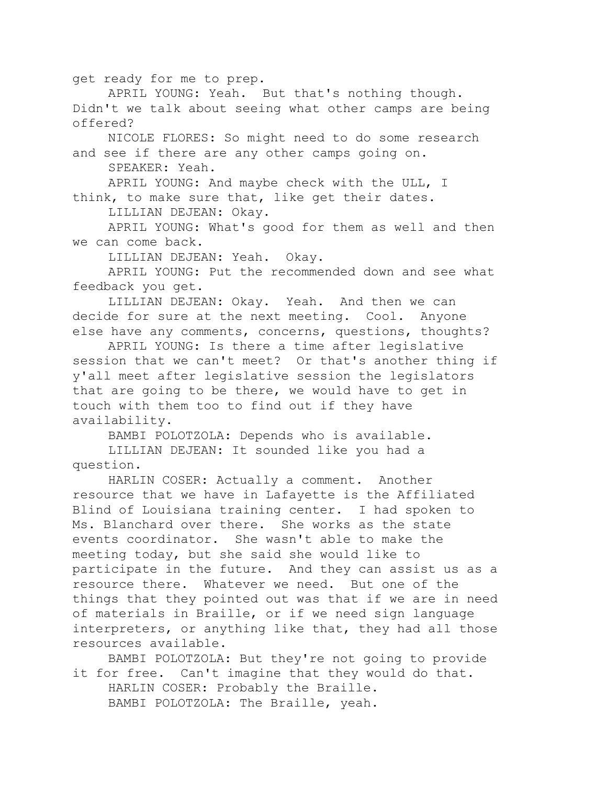get ready for me to prep.

APRIL YOUNG: Yeah. But that's nothing though. Didn't we talk about seeing what other camps are being offered?

NICOLE FLORES: So might need to do some research and see if there are any other camps going on.

SPEAKER: Yeah.

APRIL YOUNG: And maybe check with the ULL, I think, to make sure that, like get their dates.

LILLIAN DEJEAN: Okay.

APRIL YOUNG: What's good for them as well and then we can come back.

LILLIAN DEJEAN: Yeah. Okay.

APRIL YOUNG: Put the recommended down and see what feedback you get.

LILLIAN DEJEAN: Okay. Yeah. And then we can decide for sure at the next meeting. Cool. Anyone else have any comments, concerns, questions, thoughts?

APRIL YOUNG: Is there a time after legislative session that we can't meet? Or that's another thing if y'all meet after legislative session the legislators that are going to be there, we would have to get in touch with them too to find out if they have availability.

BAMBI POLOTZOLA: Depends who is available.

LILLIAN DEJEAN: It sounded like you had a question.

HARLIN COSER: Actually a comment. Another resource that we have in Lafayette is the Affiliated Blind of Louisiana training center. I had spoken to Ms. Blanchard over there. She works as the state events coordinator. She wasn't able to make the meeting today, but she said she would like to participate in the future. And they can assist us as a resource there. Whatever we need. But one of the things that they pointed out was that if we are in need of materials in Braille, or if we need sign language interpreters, or anything like that, they had all those resources available.

BAMBI POLOTZOLA: But they're not going to provide it for free. Can't imagine that they would do that. HARLIN COSER: Probably the Braille. BAMBI POLOTZOLA: The Braille, yeah.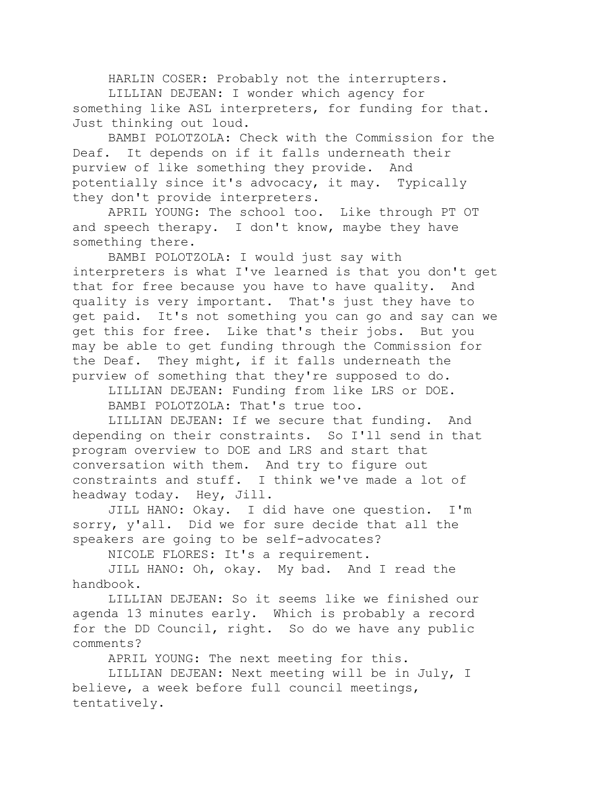HARLIN COSER: Probably not the interrupters. LILLIAN DEJEAN: I wonder which agency for something like ASL interpreters, for funding for that. Just thinking out loud.

BAMBI POLOTZOLA: Check with the Commission for the Deaf. It depends on if it falls underneath their purview of like something they provide. And potentially since it's advocacy, it may. Typically they don't provide interpreters.

APRIL YOUNG: The school too. Like through PT OT and speech therapy. I don't know, maybe they have something there.

BAMBI POLOTZOLA: I would just say with interpreters is what I've learned is that you don't get that for free because you have to have quality. And quality is very important. That's just they have to get paid. It's not something you can go and say can we get this for free. Like that's their jobs. But you may be able to get funding through the Commission for the Deaf. They might, if it falls underneath the purview of something that they're supposed to do.

LILLIAN DEJEAN: Funding from like LRS or DOE. BAMBI POLOTZOLA: That's true too.

LILLIAN DEJEAN: If we secure that funding. And depending on their constraints. So I'll send in that program overview to DOE and LRS and start that conversation with them. And try to figure out constraints and stuff. I think we've made a lot of headway today. Hey, Jill.

JILL HANO: Okay. I did have one question. I'm sorry, y'all. Did we for sure decide that all the speakers are going to be self-advocates?

NICOLE FLORES: It's a requirement.

JILL HANO: Oh, okay. My bad. And I read the handbook.

LILLIAN DEJEAN: So it seems like we finished our agenda 13 minutes early. Which is probably a record for the DD Council, right. So do we have any public comments?

APRIL YOUNG: The next meeting for this.

LILLIAN DEJEAN: Next meeting will be in July, I believe, a week before full council meetings, tentatively.